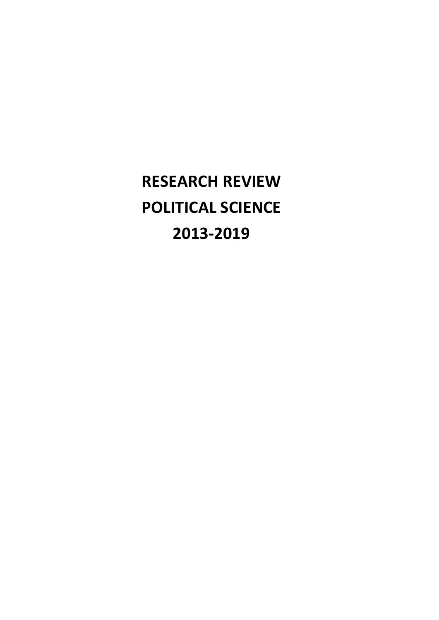**RESEARCH REVIEW POLITICAL SCIENCE 2013-2019**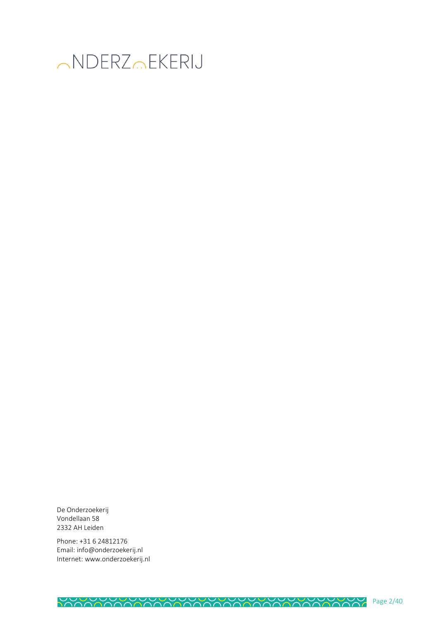

De Onderzoekerij Vondellaan 58 2332 AH Leiden

Phone: +31 6 24812176 Email: info@onderzoekerij.nl Internet: www.onderzoekerij.nl

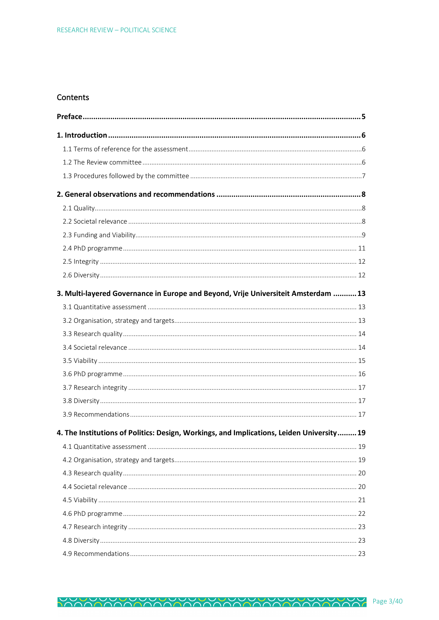# Contents

| 3. Multi-layered Governance in Europe and Beyond, Vrije Universiteit Amsterdam  13        |  |
|-------------------------------------------------------------------------------------------|--|
|                                                                                           |  |
|                                                                                           |  |
|                                                                                           |  |
|                                                                                           |  |
|                                                                                           |  |
|                                                                                           |  |
|                                                                                           |  |
|                                                                                           |  |
|                                                                                           |  |
| 4. The Institutions of Politics: Design, Workings, and Implications, Leiden University 19 |  |
|                                                                                           |  |
|                                                                                           |  |
|                                                                                           |  |
|                                                                                           |  |
|                                                                                           |  |
|                                                                                           |  |
|                                                                                           |  |
|                                                                                           |  |
|                                                                                           |  |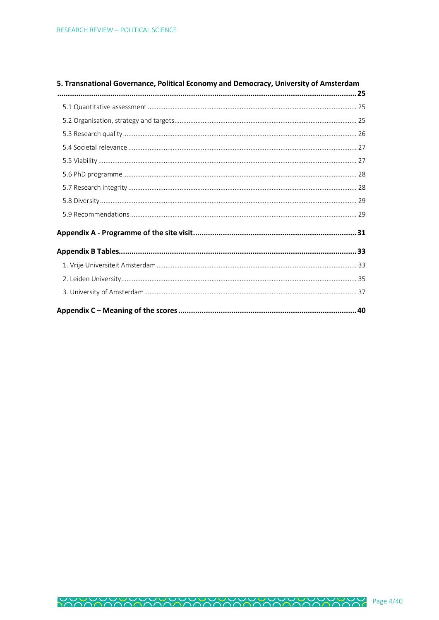| 5. Transnational Governance, Political Economy and Democracy, University of Amsterdam |  |
|---------------------------------------------------------------------------------------|--|
|                                                                                       |  |
|                                                                                       |  |
|                                                                                       |  |
|                                                                                       |  |
|                                                                                       |  |
|                                                                                       |  |
|                                                                                       |  |
|                                                                                       |  |
|                                                                                       |  |
|                                                                                       |  |
|                                                                                       |  |
|                                                                                       |  |
|                                                                                       |  |
|                                                                                       |  |
|                                                                                       |  |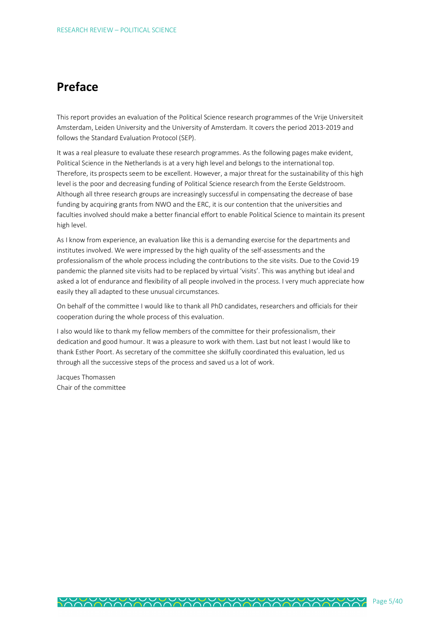# **Preface**

This report provides an evaluation of the Political Science research programmes of the Vrije Universiteit Amsterdam, Leiden University and the University of Amsterdam. It covers the period 2013-2019 and follows the Standard Evaluation Protocol (SEP).

It was a real pleasure to evaluate these research programmes. As the following pages make evident, Political Science in the Netherlands is at a very high level and belongs to the international top. Therefore, its prospects seem to be excellent. However, a major threat for the sustainability of this high level is the poor and decreasing funding of Political Science research from the Eerste Geldstroom. Although all three research groups are increasingly successful in compensating the decrease of base funding by acquiring grants from NWO and the ERC, it is our contention that the universities and faculties involved should make a better financial effort to enable Political Science to maintain its present high level.

As I know from experience, an evaluation like this is a demanding exercise for the departments and institutes involved. We were impressed by the high quality of the self-assessments and the professionalism of the whole process including the contributions to the site visits. Due to the Covid-19 pandemic the planned site visits had to be replaced by virtual 'visits'. This was anything but ideal and asked a lot of endurance and flexibility of all people involved in the process. I very much appreciate how easily they all adapted to these unusual circumstances.

On behalf of the committee I would like to thank all PhD candidates, researchers and officials for their cooperation during the whole process of this evaluation.

I also would like to thank my fellow members of the committee for their professionalism, their dedication and good humour. It was a pleasure to work with them. Last but not least I would like to thank Esther Poort. As secretary of the committee she skilfully coordinated this evaluation, led us through all the successive steps of the process and saved us a lot of work.

Jacques Thomassen Chair of the committee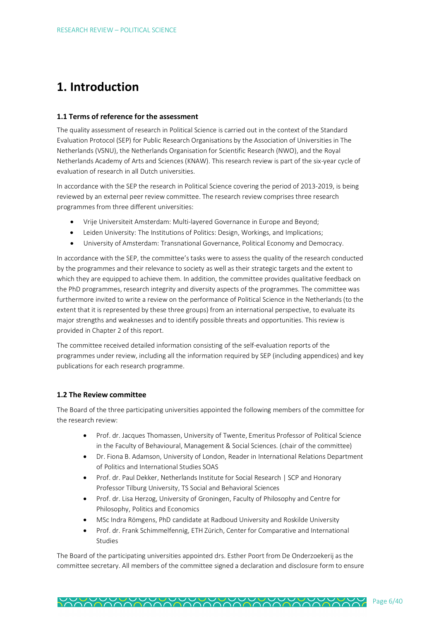# **1. Introduction**

## **1.1 Terms of reference for the assessment**

The quality assessment of research in Political Science is carried out in the context of the Standard Evaluation Protocol (SEP) for Public Research Organisations by the Association of Universities in The Netherlands (VSNU), the Netherlands Organisation for Scientific Research (NWO), and the Royal Netherlands Academy of Arts and Sciences (KNAW). This research review is part of the six-year cycle of evaluation of research in all Dutch universities.

In accordance with the SEP the research in Political Science covering the period of 2013-2019, is being reviewed by an external peer review committee. The research review comprises three research programmes from three different universities:

- Vrije Universiteit Amsterdam: Multi-layered Governance in Europe and Beyond;
- Leiden University: The Institutions of Politics: Design, Workings, and Implications;
- University of Amsterdam: Transnational Governance, Political Economy and Democracy.

In accordance with the SEP, the committee's tasks were to assess the quality of the research conducted by the programmes and their relevance to society as well as their strategic targets and the extent to which they are equipped to achieve them. In addition, the committee provides qualitative feedback on the PhD programmes, research integrity and diversity aspects of the programmes. The committee was furthermore invited to write a review on the performance of Political Science in the Netherlands (to the extent that it is represented by these three groups) from an international perspective, to evaluate its major strengths and weaknesses and to identify possible threats and opportunities. This review is provided in Chapter 2 of this report.

The committee received detailed information consisting of the self-evaluation reports of the programmes under review, including all the information required by SEP (including appendices) and key publications for each research programme.

# **1.2 The Review committee**

The Board of the three participating universities appointed the following members of the committee for the research review:

- Prof. dr. Jacques Thomassen, University of Twente, Emeritus Professor of Political Science in the Faculty of Behavioural, Management & Social Sciences. (chair of the committee)
- Dr. Fiona B. Adamson, University of London, Reader in International Relations Department of Politics and International Studies SOAS
- Prof. dr. Paul Dekker, Netherlands Institute for Social Research | SCP and Honorary Professor Tilburg University, TS Social and Behavioral Sciences
- Prof. dr. Lisa Herzog, University of Groningen, Faculty of Philosophy and Centre for Philosophy, Politics and Economics
- MSc Indra Römgens, PhD candidate at Radboud University and Roskilde University
- Prof. dr. Frank Schimmelfennig, ETH Zürich, Center for Comparative and International Studies

The Board of the participating universities appointed drs. Esther Poort from De Onderzoekerij as the committee secretary. All members of the committee signed a declaration and disclosure form to ensure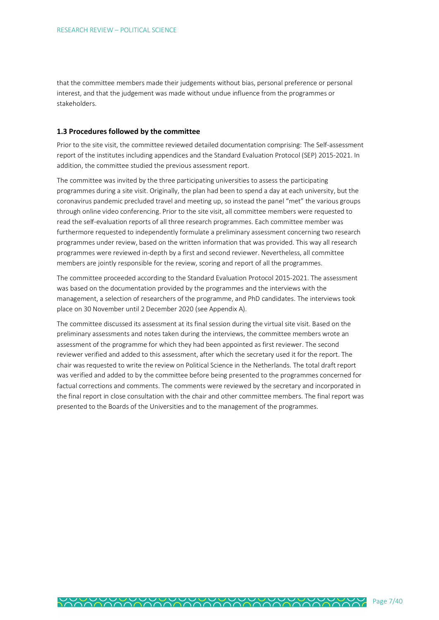that the committee members made their judgements without bias, personal preference or personal interest, and that the judgement was made without undue influence from the programmes or stakeholders.

#### **1.3 Procedures followed by the committee**

Prior to the site visit, the committee reviewed detailed documentation comprising: The Self-assessment report of the institutes including appendices and the Standard Evaluation Protocol (SEP) 2015-2021. In addition, the committee studied the previous assessment report.

The committee was invited by the three participating universities to assess the participating programmes during a site visit. Originally, the plan had been to spend a day at each university, but the coronavirus pandemic precluded travel and meeting up, so instead the panel "met" the various groups through online video conferencing. Prior to the site visit, all committee members were requested to read the self-evaluation reports of all three research programmes. Each committee member was furthermore requested to independently formulate a preliminary assessment concerning two research programmes under review, based on the written information that was provided. This way all research programmes were reviewed in-depth by a first and second reviewer. Nevertheless, all committee members are jointly responsible for the review, scoring and report of all the programmes.

The committee proceeded according to the Standard Evaluation Protocol 2015-2021. The assessment was based on the documentation provided by the programmes and the interviews with the management, a selection of researchers of the programme, and PhD candidates. The interviews took place on 30 November until 2 December 2020 (see Appendix A).

The committee discussed its assessment at its final session during the virtual site visit. Based on the preliminary assessments and notes taken during the interviews, the committee members wrote an assessment of the programme for which they had been appointed as first reviewer. The second reviewer verified and added to this assessment, after which the secretary used it for the report. The chair was requested to write the review on Political Science in the Netherlands. The total draft report was verified and added to by the committee before being presented to the programmes concerned for factual corrections and comments. The comments were reviewed by the secretary and incorporated in the final report in close consultation with the chair and other committee members. The final report was presented to the Boards of the Universities and to the management of the programmes.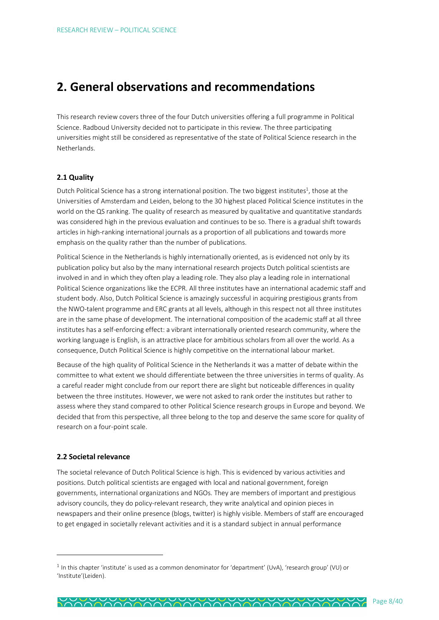# **2. General observations and recommendations**

This research review covers three of the four Dutch universities offering a full programme in Political Science. Radboud University decided not to participate in this review. The three participating universities might still be considered as representative of the state of Political Science research in the Netherlands.

# **2.1 Quality**

Dutch Political Science has a strong international position. The two biggest institutes<sup>1</sup>, those at the Universities of Amsterdam and Leiden, belong to the 30 highest placed Political Science institutes in the world on the QS ranking. The quality of research as measured by qualitative and quantitative standards was considered high in the previous evaluation and continues to be so. There is a gradual shift towards articles in high-ranking international journals as a proportion of all publications and towards more emphasis on the quality rather than the number of publications.

Political Science in the Netherlands is highly internationally oriented, as is evidenced not only by its publication policy but also by the many international research projects Dutch political scientists are involved in and in which they often play a leading role. They also play a leading role in international Political Science organizations like the ECPR. All three institutes have an international academic staff and student body. Also, Dutch Political Science is amazingly successful in acquiring prestigious grants from the NWO-talent programme and ERC grants at all levels, although in this respect not all three institutes are in the same phase of development. The international composition of the academic staff at all three institutes has a self-enforcing effect: a vibrant internationally oriented research community, where the working language is English, is an attractive place for ambitious scholars from all over the world. As a consequence, Dutch Political Science is highly competitive on the international labour market.

Because of the high quality of Political Science in the Netherlands it was a matter of debate within the committee to what extent we should differentiate between the three universities in terms of quality. As a careful reader might conclude from our report there are slight but noticeable differences in quality between the three institutes. However, we were not asked to rank order the institutes but rather to assess where they stand compared to other Political Science research groups in Europe and beyond. We decided that from this perspective, all three belong to the top and deserve the same score for quality of research on a four-point scale.

## **2.2 Societal relevance**

 $\overline{a}$ 

The societal relevance of Dutch Political Science is high. This is evidenced by various activities and positions. Dutch political scientists are engaged with local and national government, foreign governments, international organizations and NGOs. They are members of important and prestigious advisory councils, they do policy-relevant research, they write analytical and opinion pieces in newspapers and their online presence (blogs, twitter) is highly visible. Members of staff are encouraged to get engaged in societally relevant activities and it is a standard subject in annual performance

 $1$  In this chapter 'institute' is used as a common denominator for 'department' (UvA), 'research group' (VU) or 'Institute'(Leiden).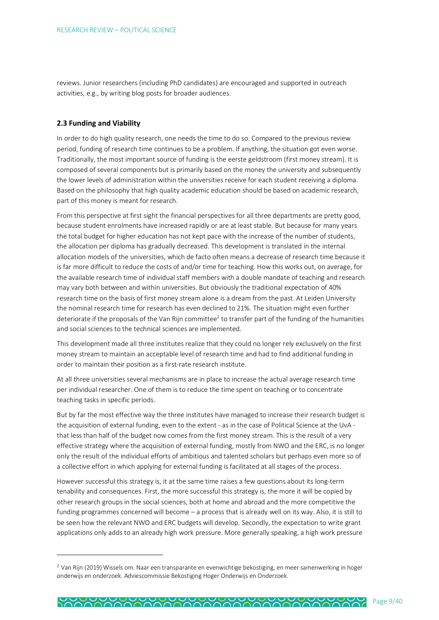reviews. Junior researchers (including PhD candidates) are encouraged and supported in outreach activities, e.g., by writing blog posts for broader audiences.

#### **2.3 Funding and Viability**

 $\overline{a}$ 

In order to do high quality research, one needs the time to do so. Compared to the previous review period, funding of research time continues to be a problem. If anything, the situation got even worse. Traditionally, the most important source of funding is the eerste geldstroom (first money stream). It is composed of several components but is primarily based on the money the university and subsequently the lower levels of administration within the universities receive for each student receiving a diploma. Based on the philosophy that high quality academic education should be based on academic research, part of this money is meant for research.

From this perspective at first sight the financial perspectives for all three departments are pretty good, because student enrolments have increased rapidly or are at least stable. But because for many years the total budget for higher education has not kept pace with the increase of the number of students, the allocation per diploma has gradually decreased. This development is translated in the internal allocation models of the universities, which de facto often means a decrease of research time because it is far more difficult to reduce the costs of and/or time for teaching. How this works out, on average, for the available research time of individual staff members with a double mandate of teaching and research may vary both between and within universities. But obviously the traditional expectation of 40% research time on the basis of first money stream alone is a dream from the past. At Leiden University the nominal research time for research has even declined to 21%. The situation might even further deteriorate if the proposals of the Van Rijn committee<sup>2</sup> to transfer part of the funding of the humanities and social sciences to the technical sciences are implemented.

This development made all three institutes realize that they could no longer rely exclusively on the first money stream to maintain an acceptable level of research time and had to find additional funding in order to maintain their position as a first-rate research institute.

At all three universities several mechanisms are in place to increase the actual average research time per individual researcher. One of them is to reduce the time spent on teaching or to concentrate teaching tasks in specific periods.

But by far the most effective way the three institutes have managed to increase their research budget is the acquisition of external funding, even to the extent - as in the case of Political Science at the UvA that less than half of the budget now comes from the first money stream. This is the result of a very effective strategy where the acquisition of external funding, mostly from NWO and the ERC, is no longer only the result of the individual efforts of ambitious and talented scholars but perhaps even more so of a collective effort in which applying for external funding is facilitated at all stages of the process.

However successful this strategy is, it at the same time raises a few questions about its long-term tenability and consequences. First, the more successful this strategy is, the more it will be copied by other research groups in the social sciences, both at home and abroad and the more competitive the funding programmes concerned will become – a process that is already well on its way. Also, it is still to be seen how the relevant NWO and ERC budgets will develop. Secondly, the expectation to write grant applications only adds to an already high work pressure. More generally speaking, a high work pressure

<sup>&</sup>lt;sup>2</sup> Van Rijn (2019) Wissels om. Naar een transparante en evenwichtige bekostiging, en meer samenwerking in hoger onderwijs en onderzoek. Adviescommissie Bekostiging Hoger Onderwijs en Onderzoek.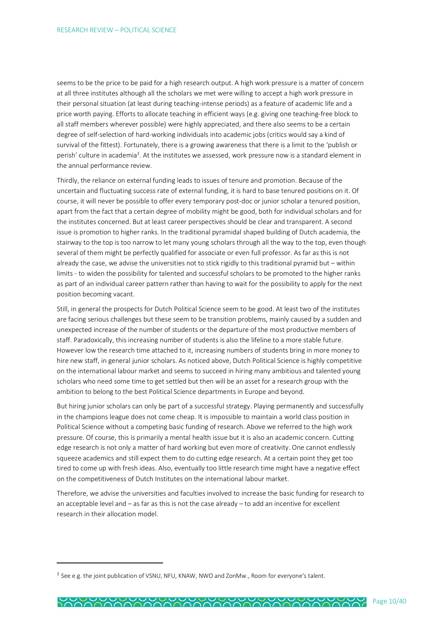seems to be the price to be paid for a high research output. A high work pressure is a matter of concern at all three institutes although all the scholars we met were willing to accept a high work pressure in their personal situation (at least during teaching-intense periods) as a feature of academic life and a price worth paying. Efforts to allocate teaching in efficient ways (e.g. giving one teaching-free block to all staff members wherever possible) were highly appreciated, and there also seems to be a certain degree of self-selection of hard-working individuals into academic jobs (critics would say a kind of survival of the fittest). Fortunately, there is a growing awareness that there is a limit to the 'publish or perish' culture in academia<sup>3</sup>. At the institutes we assessed, work pressure now is a standard element in the annual performance review.

Thirdly, the reliance on external funding leads to issues of tenure and promotion. Because of the uncertain and fluctuating success rate of external funding, it is hard to base tenured positions on it. Of course, it will never be possible to offer every temporary post-doc or junior scholar a tenured position, apart from the fact that a certain degree of mobility might be good, both for individual scholars and for the institutes concerned. But at least career perspectives should be clear and transparent. A second issue is promotion to higher ranks. In the traditional pyramidal shaped building of Dutch academia, the stairway to the top is too narrow to let many young scholars through all the way to the top, even though several of them might be perfectly qualified for associate or even full professor. As far as this is not already the case, we advise the universities not to stick rigidly to this traditional pyramid but – within limits - to widen the possibility for talented and successful scholars to be promoted to the higher ranks as part of an individual career pattern rather than having to wait for the possibility to apply for the next position becoming vacant.

Still, in general the prospects for Dutch Political Science seem to be good. At least two of the institutes are facing serious challenges but these seem to be transition problems, mainly caused by a sudden and unexpected increase of the number of students or the departure of the most productive members of staff. Paradoxically, this increasing number of students is also the lifeline to a more stable future. However low the research time attached to it, increasing numbers of students bring in more money to hire new staff, in general junior scholars. As noticed above, Dutch Political Science is highly competitive on the international labour market and seems to succeed in hiring many ambitious and talented young scholars who need some time to get settled but then will be an asset for a research group with the ambition to belong to the best Political Science departments in Europe and beyond.

But hiring junior scholars can only be part of a successful strategy. Playing permanently and successfully in the champions league does not come cheap. It is impossible to maintain a world class position in Political Science without a competing basic funding of research. Above we referred to the high work pressure. Of course, this is primarily a mental health issue but it is also an academic concern. Cutting edge research is not only a matter of hard working but even more of creativity. One cannot endlessly squeeze academics and still expect them to do cutting edge research. At a certain point they get too tired to come up with fresh ideas. Also, eventually too little research time might have a negative effect on the competitiveness of Dutch Institutes on the international labour market.

Therefore, we advise the universities and faculties involved to increase the basic funding for research to an acceptable level and – as far as this is not the case already – to add an incentive for excellent research in their allocation model.

 $\overline{a}$ 

 $3$  See e.g. the joint publication of VSNU, NFU, KNAW, NWO and ZonMw., Room for everyone's talent.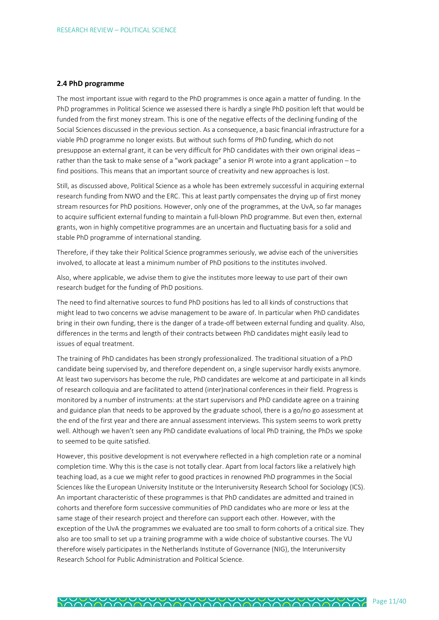### **2.4 PhD programme**

The most important issue with regard to the PhD programmes is once again a matter of funding. In the PhD programmes in Political Science we assessed there is hardly a single PhD position left that would be funded from the first money stream. This is one of the negative effects of the declining funding of the Social Sciences discussed in the previous section. As a consequence, a basic financial infrastructure for a viable PhD programme no longer exists. But without such forms of PhD funding, which do not presuppose an external grant, it can be very difficult for PhD candidates with their own original ideas – rather than the task to make sense of a "work package" a senior PI wrote into a grant application – to find positions. This means that an important source of creativity and new approaches is lost.

Still, as discussed above, Political Science as a whole has been extremely successful in acquiring external research funding from NWO and the ERC. This at least partly compensates the drying up of first money stream resources for PhD positions. However, only one of the programmes, at the UvA, so far manages to acquire sufficient external funding to maintain a full-blown PhD programme. But even then, external grants, won in highly competitive programmes are an uncertain and fluctuating basis for a solid and stable PhD programme of international standing.

Therefore, if they take their Political Science programmes seriously, we advise each of the universities involved, to allocate at least a minimum number of PhD positions to the institutes involved.

Also, where applicable, we advise them to give the institutes more leeway to use part of their own research budget for the funding of PhD positions.

The need to find alternative sources to fund PhD positions has led to all kinds of constructions that might lead to two concerns we advise management to be aware of. In particular when PhD candidates bring in their own funding, there is the danger of a trade-off between external funding and quality. Also, differences in the terms and length of their contracts between PhD candidates might easily lead to issues of equal treatment.

The training of PhD candidates has been strongly professionalized. The traditional situation of a PhD candidate being supervised by, and therefore dependent on, a single supervisor hardly exists anymore. At least two supervisors has become the rule, PhD candidates are welcome at and participate in all kinds of research colloquia and are facilitated to attend (inter)national conferences in their field. Progress is monitored by a number of instruments: at the start supervisors and PhD candidate agree on a training and guidance plan that needs to be approved by the graduate school, there is a go/no go assessment at the end of the first year and there are annual assessment interviews. This system seems to work pretty well. Although we haven't seen any PhD candidate evaluations of local PhD training, the PhDs we spoke to seemed to be quite satisfied.

However, this positive development is not everywhere reflected in a high completion rate or a nominal completion time. Why this is the case is not totally clear. Apart from local factors like a relatively high teaching load, as a cue we might refer to good practices in renowned PhD programmes in the Social Sciences like the European University Institute or the Interuniversity Research School for Sociology (ICS). An important characteristic of these programmes is that PhD candidates are admitted and trained in cohorts and therefore form successive communities of PhD candidates who are more or less at the same stage of their research project and therefore can support each other. However, with the exception of the UvA the programmes we evaluated are too small to form cohorts of a critical size. They also are too small to set up a training programme with a wide choice of substantive courses. The VU therefore wisely participates in the Netherlands Institute of Governance (NIG), the Interuniversity Research School for Public Administration and Political Science.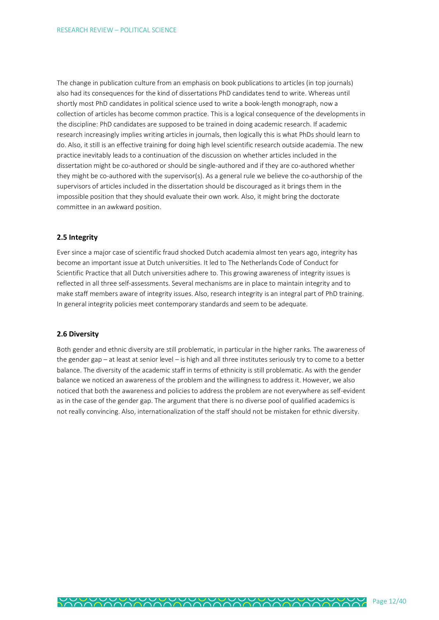The change in publication culture from an emphasis on book publications to articles (in top journals) also had its consequences for the kind of dissertations PhD candidates tend to write. Whereas until shortly most PhD candidates in political science used to write a book-length monograph, now a collection of articles has become common practice. This is a logical consequence of the developments in the discipline: PhD candidates are supposed to be trained in doing academic research. If academic research increasingly implies writing articles in journals, then logically this is what PhDs should learn to do. Also, it still is an effective training for doing high level scientific research outside academia. The new practice inevitably leads to a continuation of the discussion on whether articles included in the dissertation might be co-authored or should be single-authored and if they are co-authored whether they might be co-authored with the supervisor(s). As a general rule we believe the co-authorship of the supervisors of articles included in the dissertation should be discouraged as it brings them in the impossible position that they should evaluate their own work. Also, it might bring the doctorate committee in an awkward position.

# **2.5 Integrity**

Ever since a major case of scientific fraud shocked Dutch academia almost ten years ago, integrity has become an important issue at Dutch universities. It led to The Netherlands Code of Conduct for Scientific Practice that all Dutch universities adhere to. This growing awareness of integrity issues is reflected in all three self-assessments. Several mechanisms are in place to maintain integrity and to make staff members aware of integrity issues. Also, research integrity is an integral part of PhD training. In general integrity policies meet contemporary standards and seem to be adequate.

#### **2.6 Diversity**

Both gender and ethnic diversity are still problematic, in particular in the higher ranks. The awareness of the gender gap – at least at senior level – is high and all three institutes seriously try to come to a better balance. The diversity of the academic staff in terms of ethnicity is still problematic. As with the gender balance we noticed an awareness of the problem and the willingness to address it. However, we also noticed that both the awareness and policies to address the problem are not everywhere as self-evident as in the case of the gender gap. The argument that there is no diverse pool of qualified academics is not really convincing. Also, internationalization of the staff should not be mistaken for ethnic diversity.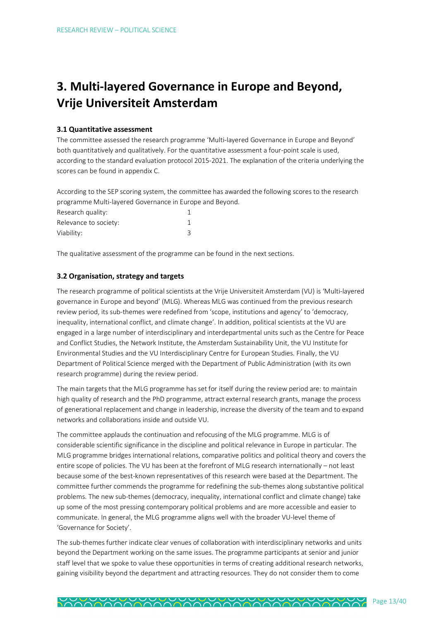# **3. Multi-layered Governance in Europe and Beyond, Vrije Universiteit Amsterdam**

### **3.1 Quantitative assessment**

The committee assessed the research programme 'Multi-layered Governance in Europe and Beyond' both quantitatively and qualitatively. For the quantitative assessment a four-point scale is used, according to the standard evaluation protocol 2015-2021. The explanation of the criteria underlying the scores can be found in appendix C.

According to the SEP scoring system, the committee has awarded the following scores to the research programme Multi-layered Governance in Europe and Beyond.

| Research quality:     |  |
|-----------------------|--|
| Relevance to society: |  |
| Viability:            |  |

The qualitative assessment of the programme can be found in the next sections.

# **3.2 Organisation, strategy and targets**

The research programme of political scientists at the Vrije Universiteit Amsterdam (VU) is 'Multi-layered governance in Europe and beyond' (MLG). Whereas MLG was continued from the previous research review period, its sub-themes were redefined from 'scope, institutions and agency' to 'democracy, inequality, international conflict, and climate change'. In addition, political scientists at the VU are engaged in a large number of interdisciplinary and interdepartmental units such as the Centre for Peace and Conflict Studies, the Network Institute, the Amsterdam Sustainability Unit, the VU Institute for Environmental Studies and the VU Interdisciplinary Centre for European Studies. Finally, the VU Department of Political Science merged with the Department of Public Administration (with its own research programme) during the review period.

The main targets that the MLG programme has set for itself during the review period are: to maintain high quality of research and the PhD programme, attract external research grants, manage the process of generational replacement and change in leadership, increase the diversity of the team and to expand networks and collaborations inside and outside VU.

The committee applauds the continuation and refocusing of the MLG programme. MLG is of considerable scientific significance in the discipline and political relevance in Europe in particular. The MLG programme bridges international relations, comparative politics and political theory and covers the entire scope of policies. The VU has been at the forefront of MLG research internationally – not least because some of the best-known representatives of this research were based at the Department. The committee further commends the programme for redefining the sub-themes along substantive political problems. The new sub-themes (democracy, inequality, international conflict and climate change) take up some of the most pressing contemporary political problems and are more accessible and easier to communicate. In general, the MLG programme aligns well with the broader VU-level theme of 'Governance for Society'.

The sub-themes further indicate clear venues of collaboration with interdisciplinary networks and units beyond the Department working on the same issues. The programme participants at senior and junior staff level that we spoke to value these opportunities in terms of creating additional research networks, gaining visibility beyond the department and attracting resources. They do not consider them to come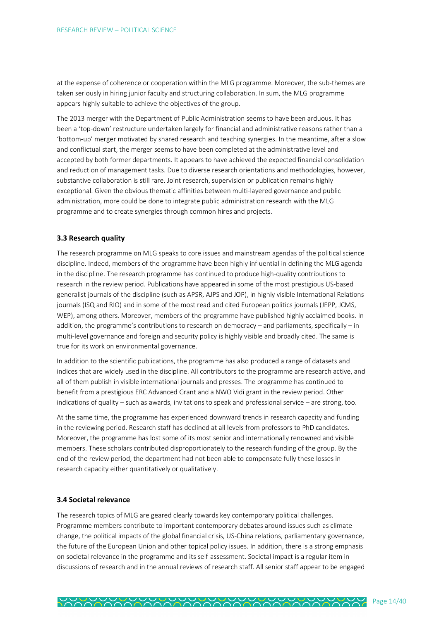at the expense of coherence or cooperation within the MLG programme. Moreover, the sub-themes are taken seriously in hiring junior faculty and structuring collaboration. In sum, the MLG programme appears highly suitable to achieve the objectives of the group.

The 2013 merger with the Department of Public Administration seems to have been arduous. It has been a 'top-down' restructure undertaken largely for financial and administrative reasons rather than a 'bottom-up' merger motivated by shared research and teaching synergies. In the meantime, after a slow and conflictual start, the merger seems to have been completed at the administrative level and accepted by both former departments. It appears to have achieved the expected financial consolidation and reduction of management tasks. Due to diverse research orientations and methodologies, however, substantive collaboration is still rare. Joint research, supervision or publication remains highly exceptional. Given the obvious thematic affinities between multi-layered governance and public administration, more could be done to integrate public administration research with the MLG programme and to create synergies through common hires and projects.

### **3.3 Research quality**

The research programme on MLG speaks to core issues and mainstream agendas of the political science discipline. Indeed, members of the programme have been highly influential in defining the MLG agenda in the discipline. The research programme has continued to produce high-quality contributions to research in the review period. Publications have appeared in some of the most prestigious US-based generalist journals of the discipline (such as APSR, AJPS and JOP), in highly visible International Relations journals (ISQ and RIO) and in some of the most read and cited European politics journals (JEPP, JCMS, WEP), among others. Moreover, members of the programme have published highly acclaimed books. In addition, the programme's contributions to research on democracy – and parliaments, specifically – in multi-level governance and foreign and security policy is highly visible and broadly cited. The same is true for its work on environmental governance.

In addition to the scientific publications, the programme has also produced a range of datasets and indices that are widely used in the discipline. All contributors to the programme are research active, and all of them publish in visible international journals and presses. The programme has continued to benefit from a prestigious ERC Advanced Grant and a NWO Vidi grant in the review period. Other indications of quality – such as awards, invitations to speak and professional service – are strong, too.

At the same time, the programme has experienced downward trends in research capacity and funding in the reviewing period. Research staff has declined at all levels from professors to PhD candidates. Moreover, the programme has lost some of its most senior and internationally renowned and visible members. These scholars contributed disproportionately to the research funding of the group. By the end of the review period, the department had not been able to compensate fully these losses in research capacity either quantitatively or qualitatively.

#### **3.4 Societal relevance**

The research topics of MLG are geared clearly towards key contemporary political challenges. Programme members contribute to important contemporary debates around issues such as climate change, the political impacts of the global financial crisis, US-China relations, parliamentary governance, the future of the European Union and other topical policy issues. In addition, there is a strong emphasis on societal relevance in the programme and its self-assessment. Societal impact is a regular item in discussions of research and in the annual reviews of research staff. All senior staff appear to be engaged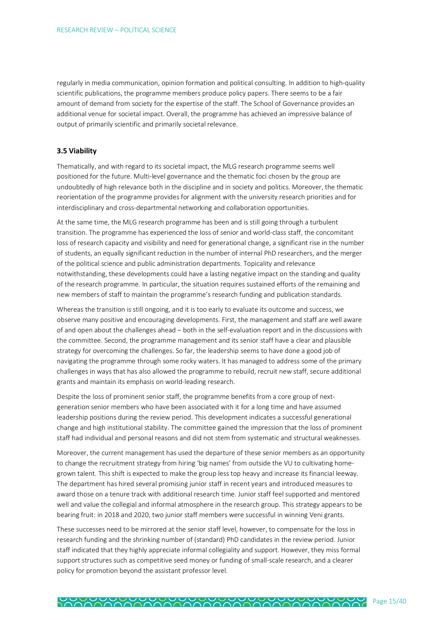regularly in media communication, opinion formation and political consulting. In addition to high-quality scientific publications, the programme members produce policy papers. There seems to be a fair amount of demand from society for the expertise of the staff. The School of Governance provides an additional venue for societal impact. Overall, the programme has achieved an impressive balance of output of primarily scientific and primarily societal relevance.

### **3.5 Viability**

Thematically, and with regard to its societal impact, the MLG research programme seems well positioned for the future. Multi-level governance and the thematic foci chosen by the group are undoubtedly of high relevance both in the discipline and in society and politics. Moreover, the thematic reorientation of the programme provides for alignment with the university research priorities and for interdisciplinary and cross-departmental networking and collaboration opportunities.

At the same time, the MLG research programme has been and is still going through a turbulent transition. The programme has experienced the loss of senior and world-class staff, the concomitant loss of research capacity and visibility and need for generational change, a significant rise in the number of students, an equally significant reduction in the number of internal PhD researchers, and the merger of the political science and public administration departments. Topicality and relevance notwithstanding, these developments could have a lasting negative impact on the standing and quality of the research programme. In particular, the situation requires sustained efforts of the remaining and new members of staff to maintain the programme's research funding and publication standards.

Whereas the transition is still ongoing, and it is too early to evaluate its outcome and success, we observe many positive and encouraging developments. First, the management and staff are well aware of and open about the challenges ahead – both in the self-evaluation report and in the discussions with the committee. Second, the programme management and its senior staff have a clear and plausible strategy for overcoming the challenges. So far, the leadership seems to have done a good job of navigating the programme through some rocky waters. It has managed to address some of the primary challenges in ways that has also allowed the programme to rebuild, recruit new staff, secure additional grants and maintain its emphasis on world-leading research.

Despite the loss of prominent senior staff, the programme benefits from a core group of nextgeneration senior members who have been associated with it for a long time and have assumed leadership positions during the review period. This development indicates a successful generational change and high institutional stability. The committee gained the impression that the loss of prominent staff had individual and personal reasons and did not stem from systematic and structural weaknesses.

Moreover, the current management has used the departure of these senior members as an opportunity to change the recruitment strategy from hiring 'big names' from outside the VU to cultivating homegrown talent. This shift is expected to make the group less top heavy and increase its financial leeway. The department has hired several promising junior staff in recent years and introduced measures to award those on a tenure track with additional research time. Junior staff feel supported and mentored well and value the collegial and informal atmosphere in the research group. This strategy appears to be bearing fruit: in 2018 and 2020, two junior staff members were successful in winning Veni grants.

These successes need to be mirrored at the senior staff level, however, to compensate for the loss in research funding and the shrinking number of (standard) PhD candidates in the review period. Junior staff indicated that they highly appreciate informal collegiality and support. However, they miss formal support structures such as competitive seed money or funding of small-scale research, and a clearer policy for promotion beyond the assistant professor level.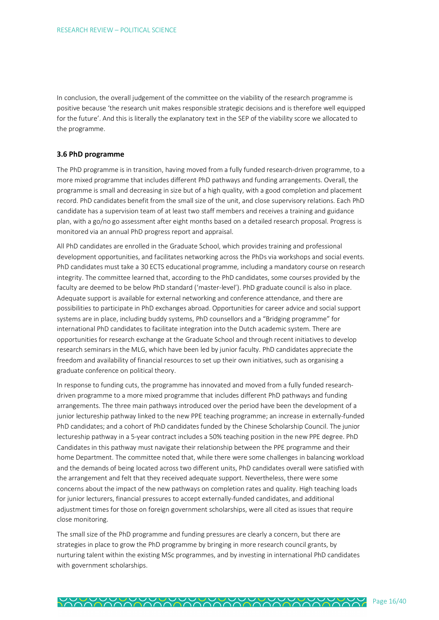In conclusion, the overall judgement of the committee on the viability of the research programme is positive because 'the research unit makes responsible strategic decisions and is therefore well equipped for the future'. And this is literally the explanatory text in the SEP of the viability score we allocated to the programme.

#### **3.6 PhD programme**

The PhD programme is in transition, having moved from a fully funded research-driven programme, to a more mixed programme that includes different PhD pathways and funding arrangements. Overall, the programme is small and decreasing in size but of a high quality, with a good completion and placement record. PhD candidates benefit from the small size of the unit, and close supervisory relations. Each PhD candidate has a supervision team of at least two staff members and receives a training and guidance plan, with a go/no go assessment after eight months based on a detailed research proposal. Progress is monitored via an annual PhD progress report and appraisal.

All PhD candidates are enrolled in the Graduate School, which provides training and professional development opportunities, and facilitates networking across the PhDs via workshops and social events. PhD candidates must take a 30 ECTS educational programme, including a mandatory course on research integrity. The committee learned that, according to the PhD candidates, some courses provided by the faculty are deemed to be below PhD standard ('master-level'). PhD graduate council is also in place. Adequate support is available for external networking and conference attendance, and there are possibilities to participate in PhD exchanges abroad. Opportunities for career advice and social support systems are in place, including buddy systems, PhD counsellors and a "Bridging programme" for international PhD candidates to facilitate integration into the Dutch academic system. There are opportunities for research exchange at the Graduate School and through recent initiatives to develop research seminars in the MLG, which have been led by junior faculty. PhD candidates appreciate the freedom and availability of financial resources to set up their own initiatives, such as organising a graduate conference on political theory.

In response to funding cuts, the programme has innovated and moved from a fully funded researchdriven programme to a more mixed programme that includes different PhD pathways and funding arrangements. The three main pathways introduced over the period have been the development of a junior lectureship pathway linked to the new PPE teaching programme; an increase in externally-funded PhD candidates; and a cohort of PhD candidates funded by the Chinese Scholarship Council. The junior lectureship pathway in a 5-year contract includes a 50% teaching position in the new PPE degree. PhD Candidates in this pathway must navigate their relationship between the PPE programme and their home Department. The committee noted that, while there were some challenges in balancing workload and the demands of being located across two different units, PhD candidates overall were satisfied with the arrangement and felt that they received adequate support. Nevertheless, there were some concerns about the impact of the new pathways on completion rates and quality. High teaching loads for junior lecturers, financial pressures to accept externally-funded candidates, and additional adjustment times for those on foreign government scholarships, were all cited as issues that require close monitoring.

The small size of the PhD programme and funding pressures are clearly a concern, but there are strategies in place to grow the PhD programme by bringing in more research council grants, by nurturing talent within the existing MSc programmes, and by investing in international PhD candidates with government scholarships.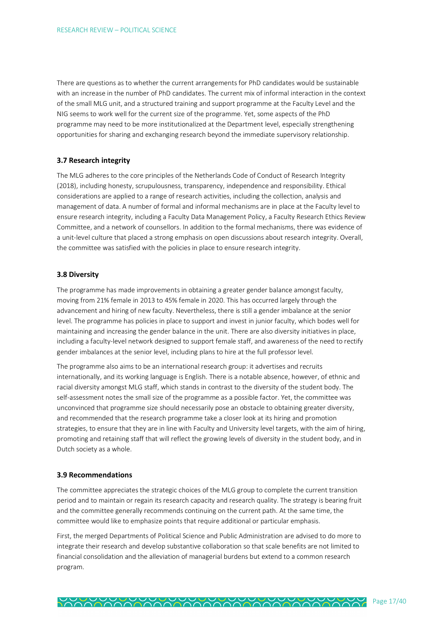There are questions as to whether the current arrangements for PhD candidates would be sustainable with an increase in the number of PhD candidates. The current mix of informal interaction in the context of the small MLG unit, and a structured training and support programme at the Faculty Level and the NIG seems to work well for the current size of the programme. Yet, some aspects of the PhD programme may need to be more institutionalized at the Department level, especially strengthening opportunities for sharing and exchanging research beyond the immediate supervisory relationship.

#### **3.7 Research integrity**

The MLG adheres to the core principles of the Netherlands Code of Conduct of Research Integrity (2018), including honesty, scrupulousness, transparency, independence and responsibility. Ethical considerations are applied to a range of research activities, including the collection, analysis and management of data. A number of formal and informal mechanisms are in place at the Faculty level to ensure research integrity, including a Faculty Data Management Policy, a Faculty Research Ethics Review Committee, and a network of counsellors. In addition to the formal mechanisms, there was evidence of a unit-level culture that placed a strong emphasis on open discussions about research integrity. Overall, the committee was satisfied with the policies in place to ensure research integrity.

#### **3.8 Diversity**

The programme has made improvements in obtaining a greater gender balance amongst faculty, moving from 21% female in 2013 to 45% female in 2020. This has occurred largely through the advancement and hiring of new faculty. Nevertheless, there is still a gender imbalance at the senior level. The programme has policies in place to support and invest in junior faculty, which bodes well for maintaining and increasing the gender balance in the unit. There are also diversity initiatives in place, including a faculty-level network designed to support female staff, and awareness of the need to rectify gender imbalances at the senior level, including plans to hire at the full professor level.

The programme also aims to be an international research group: it advertises and recruits internationally, and its working language is English. There is a notable absence, however, of ethnic and racial diversity amongst MLG staff, which stands in contrast to the diversity of the student body. The self-assessment notes the small size of the programme as a possible factor. Yet, the committee was unconvinced that programme size should necessarily pose an obstacle to obtaining greater diversity, and recommended that the research programme take a closer look at its hiring and promotion strategies, to ensure that they are in line with Faculty and University level targets, with the aim of hiring, promoting and retaining staff that will reflect the growing levels of diversity in the student body, and in Dutch society as a whole.

#### **3.9 Recommendations**

The committee appreciates the strategic choices of the MLG group to complete the current transition period and to maintain or regain its research capacity and research quality. The strategy is bearing fruit and the committee generally recommends continuing on the current path. At the same time, the committee would like to emphasize points that require additional or particular emphasis.

First, the merged Departments of Political Science and Public Administration are advised to do more to integrate their research and develop substantive collaboration so that scale benefits are not limited to financial consolidation and the alleviation of managerial burdens but extend to a common research program.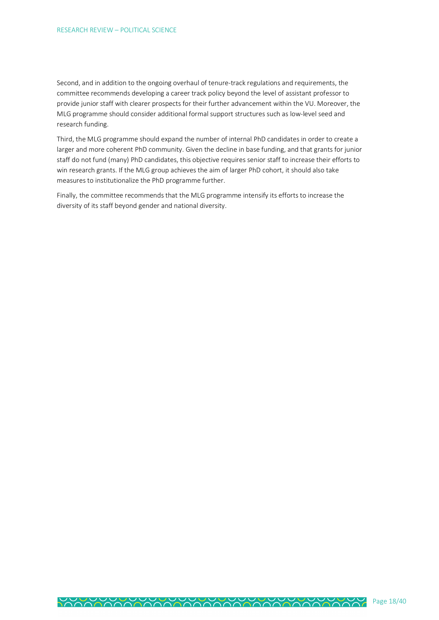Second, and in addition to the ongoing overhaul of tenure-track regulations and requirements, the committee recommends developing a career track policy beyond the level of assistant professor to provide junior staff with clearer prospects for their further advancement within the VU. Moreover, the MLG programme should consider additional formal support structures such as low-level seed and research funding.

Third, the MLG programme should expand the number of internal PhD candidates in order to create a larger and more coherent PhD community. Given the decline in base funding, and that grants for junior staff do not fund (many) PhD candidates, this objective requires senior staff to increase their efforts to win research grants. If the MLG group achieves the aim of larger PhD cohort, it should also take measures to institutionalize the PhD programme further.

Finally, the committee recommends that the MLG programme intensify its efforts to increase the diversity of its staff beyond gender and national diversity.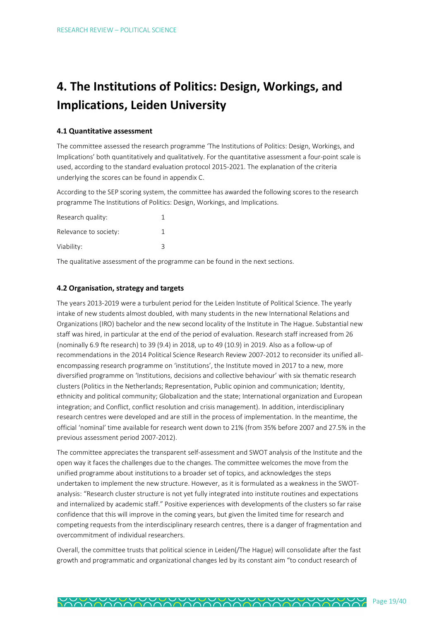# **4. The Institutions of Politics: Design, Workings, and Implications, Leiden University**

## **4.1 Quantitative assessment**

The committee assessed the research programme 'The Institutions of Politics: Design, Workings, and Implications' both quantitatively and qualitatively. For the quantitative assessment a four-point scale is used, according to the standard evaluation protocol 2015-2021. The explanation of the criteria underlying the scores can be found in appendix C.

According to the SEP scoring system, the committee has awarded the following scores to the research programme The Institutions of Politics: Design, Workings, and Implications.

| Research quality:     |   |
|-----------------------|---|
| Relevance to society: |   |
| Viability:            | 3 |

The qualitative assessment of the programme can be found in the next sections.

# **4.2 Organisation, strategy and targets**

The years 2013-2019 were a turbulent period for the Leiden Institute of Political Science. The yearly intake of new students almost doubled, with many students in the new International Relations and Organizations (IRO) bachelor and the new second locality of the Institute in The Hague. Substantial new staff was hired, in particular at the end of the period of evaluation. Research staff increased from 26 (nominally 6.9 fte research) to 39 (9.4) in 2018, up to 49 (10.9) in 2019. Also as a follow-up of recommendations in the 2014 Political Science Research Review 2007-2012 to reconsider its unified allencompassing research programme on 'institutions', the Institute moved in 2017 to a new, more diversified programme on 'Institutions, decisions and collective behaviour' with six thematic research clusters (Politics in the Netherlands; Representation, Public opinion and communication; Identity, ethnicity and political community; Globalization and the state; International organization and European integration; and Conflict, conflict resolution and crisis management). In addition, interdisciplinary research centres were developed and are still in the process of implementation. In the meantime, the official 'nominal' time available for research went down to 21% (from 35% before 2007 and 27.5% in the previous assessment period 2007-2012).

The committee appreciates the transparent self-assessment and SWOT analysis of the Institute and the open way it faces the challenges due to the changes. The committee welcomes the move from the unified programme about institutions to a broader set of topics, and acknowledges the steps undertaken to implement the new structure. However, as it is formulated as a weakness in the SWOTanalysis: "Research cluster structure is not yet fully integrated into institute routines and expectations and internalized by academic staff." Positive experiences with developments of the clusters so far raise confidence that this will improve in the coming years, but given the limited time for research and competing requests from the interdisciplinary research centres, there is a danger of fragmentation and overcommitment of individual researchers.

Overall, the committee trusts that political science in Leiden(/The Hague) will consolidate after the fast growth and programmatic and organizational changes led by its constant aim "to conduct research of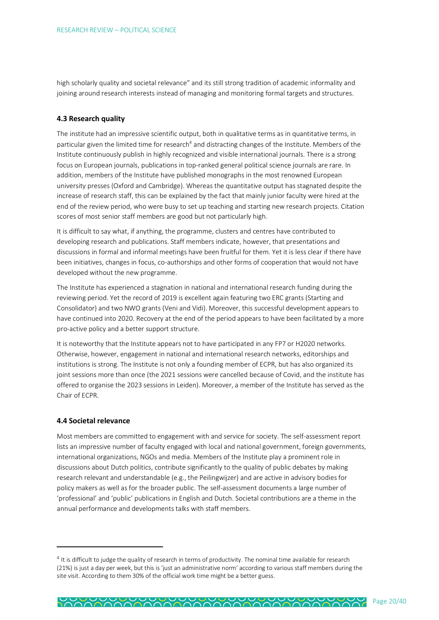high scholarly quality and societal relevance" and its still strong tradition of academic informality and joining around research interests instead of managing and monitoring formal targets and structures.

#### **4.3 Research quality**

The institute had an impressive scientific output, both in qualitative terms as in quantitative terms, in particular given the limited time for research<sup>4</sup> and distracting changes of the Institute. Members of the Institute continuously publish in highly recognized and visible international journals. There is a strong focus on European journals, publications in top-ranked general political science journals are rare. In addition, members of the Institute have published monographs in the most renowned European university presses (Oxford and Cambridge). Whereas the quantitative output has stagnated despite the increase of research staff, this can be explained by the fact that mainly junior faculty were hired at the end of the review period, who were busy to set up teaching and starting new research projects. Citation scores of most senior staff members are good but not particularly high.

It is difficult to say what, if anything, the programme, clusters and centres have contributed to developing research and publications. Staff members indicate, however, that presentations and discussions in formal and informal meetings have been fruitful for them. Yet it is less clear if there have been initiatives, changes in focus, co-authorships and other forms of cooperation that would not have developed without the new programme.

The Institute has experienced a stagnation in national and international research funding during the reviewing period. Yet the record of 2019 is excellent again featuring two ERC grants (Starting and Consolidator) and two NWO grants (Veni and Vidi). Moreover, this successful development appears to have continued into 2020. Recovery at the end of the period appears to have been facilitated by a more pro-active policy and a better support structure.

It is noteworthy that the Institute appears not to have participated in any FP7 or H2020 networks. Otherwise, however, engagement in national and international research networks, editorships and institutions is strong. The Institute is not only a founding member of ECPR, but has also organized its joint sessions more than once (the 2021 sessions were cancelled because of Covid, and the institute has offered to organise the 2023 sessions in Leiden). Moreover, a member of the Institute has served as the Chair of ECPR.

#### **4.4 Societal relevance**

 $\overline{a}$ 

Most members are committed to engagement with and service for society. The self-assessment report lists an impressive number of faculty engaged with local and national government, foreign governments, international organizations, NGOs and media. Members of the Institute play a prominent role in discussions about Dutch politics, contribute significantly to the quality of public debates by making research relevant and understandable (e.g., the Peilingwijzer) and are active in advisory bodies for policy makers as well as for the broader public. The self-assessment documents a large number of 'professional' and 'public' publications in English and Dutch. Societal contributions are a theme in the annual performance and developments talks with staff members.

<sup>&</sup>lt;sup>4</sup> It is difficult to judge the quality of research in terms of productivity. The nominal time available for research (21%) is just a day per week, but this is 'just an administrative norm' according to various staff members during the site visit. According to them 30% of the official work time might be a better guess.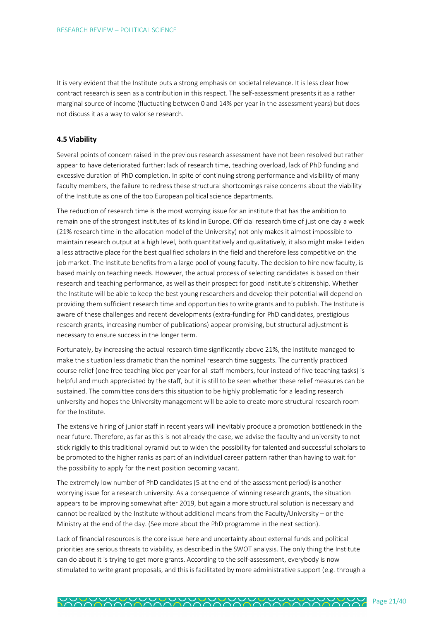It is very evident that the Institute puts a strong emphasis on societal relevance. It is less clear how contract research is seen as a contribution in this respect. The self-assessment presents it as a rather marginal source of income (fluctuating between 0 and 14% per year in the assessment years) but does not discuss it as a way to valorise research.

### **4.5 Viability**

Several points of concern raised in the previous research assessment have not been resolved but rather appear to have deteriorated further: lack of research time, teaching overload, lack of PhD funding and excessive duration of PhD completion. In spite of continuing strong performance and visibility of many faculty members, the failure to redress these structural shortcomings raise concerns about the viability of the Institute as one of the top European political science departments.

The reduction of research time is the most worrying issue for an institute that has the ambition to remain one of the strongest institutes of its kind in Europe. Official research time of just one day a week (21% research time in the allocation model of the University) not only makes it almost impossible to maintain research output at a high level, both quantitatively and qualitatively, it also might make Leiden a less attractive place for the best qualified scholars in the field and therefore less competitive on the job market. The Institute benefits from a large pool of young faculty. The decision to hire new faculty, is based mainly on teaching needs. However, the actual process of selecting candidates is based on their research and teaching performance, as well as their prospect for good Institute's citizenship. Whether the Institute will be able to keep the best young researchers and develop their potential will depend on providing them sufficient research time and opportunities to write grants and to publish. The Institute is aware of these challenges and recent developments (extra-funding for PhD candidates, prestigious research grants, increasing number of publications) appear promising, but structural adjustment is necessary to ensure success in the longer term.

Fortunately, by increasing the actual research time significantly above 21%, the Institute managed to make the situation less dramatic than the nominal research time suggests. The currently practiced course relief (one free teaching bloc per year for all staff members, four instead of five teaching tasks) is helpful and much appreciated by the staff, but it is still to be seen whether these relief measures can be sustained. The committee considers this situation to be highly problematic for a leading research university and hopes the University management will be able to create more structural research room for the Institute.

The extensive hiring of junior staff in recent years will inevitably produce a promotion bottleneck in the near future. Therefore, as far as this is not already the case, we advise the faculty and university to not stick rigidly to this traditional pyramid but to widen the possibility for talented and successful scholars to be promoted to the higher ranks as part of an individual career pattern rather than having to wait for the possibility to apply for the next position becoming vacant.

The extremely low number of PhD candidates (5 at the end of the assessment period) is another worrying issue for a research university. As a consequence of winning research grants, the situation appears to be improving somewhat after 2019, but again a more structural solution is necessary and cannot be realized by the Institute without additional means from the Faculty/University – or the Ministry at the end of the day. (See more about the PhD programme in the next section).

Lack of financial resources is the core issue here and uncertainty about external funds and political priorities are serious threats to viability, as described in the SWOT analysis. The only thing the Institute can do about it is trying to get more grants. According to the self-assessment, everybody is now stimulated to write grant proposals, and this is facilitated by more administrative support (e.g. through a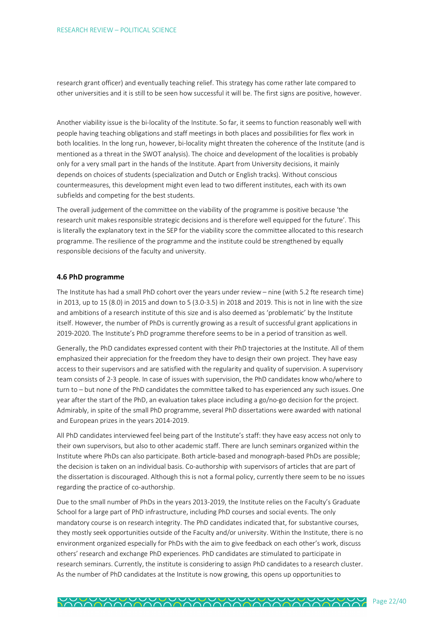research grant officer) and eventually teaching relief. This strategy has come rather late compared to other universities and it is still to be seen how successful it will be. The first signs are positive, however.

Another viability issue is the bi-locality of the Institute. So far, it seems to function reasonably well with people having teaching obligations and staff meetings in both places and possibilities for flex work in both localities. In the long run, however, bi-locality might threaten the coherence of the Institute (and is mentioned as a threat in the SWOT analysis). The choice and development of the localities is probably only for a very small part in the hands of the Institute. Apart from University decisions, it mainly depends on choices of students (specialization and Dutch or English tracks). Without conscious countermeasures, this development might even lead to two different institutes, each with its own subfields and competing for the best students.

The overall judgement of the committee on the viability of the programme is positive because 'the research unit makes responsible strategic decisions and is therefore well equipped for the future'. This is literally the explanatory text in the SEP for the viability score the committee allocated to this research programme. The resilience of the programme and the institute could be strengthened by equally responsible decisions of the faculty and university.

#### **4.6 PhD programme**

The Institute has had a small PhD cohort over the years under review – nine (with 5.2 fte research time) in 2013, up to 15 (8.0) in 2015 and down to 5 (3.0-3.5) in 2018 and 2019. This is not in line with the size and ambitions of a research institute of this size and is also deemed as 'problematic' by the Institute itself. However, the number of PhDs is currently growing as a result of successful grant applications in 2019-2020. The Institute's PhD programme therefore seems to be in a period of transition as well.

Generally, the PhD candidates expressed content with their PhD trajectories at the Institute. All of them emphasized their appreciation for the freedom they have to design their own project. They have easy access to their supervisors and are satisfied with the regularity and quality of supervision. A supervisory team consists of 2-3 people. In case of issues with supervision, the PhD candidates know who/where to turn to – but none of the PhD candidates the committee talked to has experienced any such issues. One year after the start of the PhD, an evaluation takes place including a go/no-go decision for the project. Admirably, in spite of the small PhD programme, several PhD dissertations were awarded with national and European prizes in the years 2014-2019.

All PhD candidates interviewed feel being part of the Institute's staff: they have easy access not only to their own supervisors, but also to other academic staff. There are lunch seminars organized within the Institute where PhDs can also participate. Both article-based and monograph-based PhDs are possible; the decision is taken on an individual basis. Co-authorship with supervisors of articles that are part of the dissertation is discouraged. Although this is not a formal policy, currently there seem to be no issues regarding the practice of co-authorship.

Due to the small number of PhDs in the years 2013-2019, the Institute relies on the Faculty's Graduate School for a large part of PhD infrastructure, including PhD courses and social events. The only mandatory course is on research integrity. The PhD candidates indicated that, for substantive courses, they mostly seek opportunities outside of the Faculty and/or university. Within the Institute, there is no environment organized especially for PhDs with the aim to give feedback on each other's work, discuss others' research and exchange PhD experiences. PhD candidates are stimulated to participate in research seminars. Currently, the institute is considering to assign PhD candidates to a research cluster. As the number of PhD candidates at the Institute is now growing, this opens up opportunities to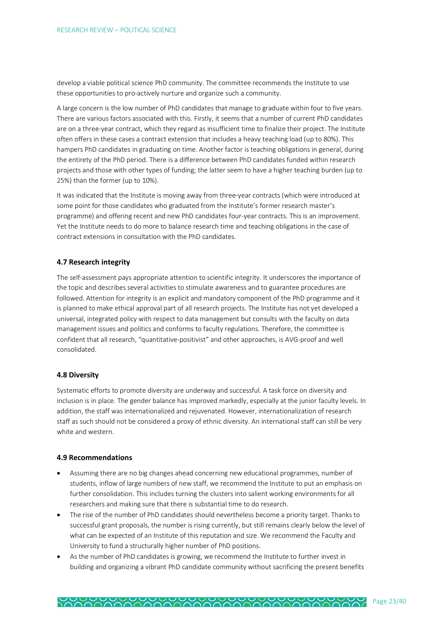develop a viable political science PhD community. The committee recommends the Institute to use these opportunities to pro-actively nurture and organize such a community.

A large concern is the low number of PhD candidates that manage to graduate within four to five years. There are various factors associated with this. Firstly, it seems that a number of current PhD candidates are on a three-year contract, which they regard as insufficient time to finalize their project. The Institute often offers in these cases a contract extension that includes a heavy teaching load (up to 80%). This hampers PhD candidates in graduating on time. Another factor is teaching obligations in general, during the entirety of the PhD period. There is a difference between PhD candidates funded within research projects and those with other types of funding; the latter seem to have a higher teaching burden (up to 25%) than the former (up to 10%).

It was indicated that the Institute is moving away from three-year contracts (which were introduced at some point for those candidates who graduated from the Institute's former research master's programme) and offering recent and new PhD candidates four-year contracts. This is an improvement. Yet the Institute needs to do more to balance research time and teaching obligations in the case of contract extensions in consultation with the PhD candidates.

## **4.7 Research integrity**

The self-assessment pays appropriate attention to scientific integrity. It underscores the importance of the topic and describes several activities to stimulate awareness and to guarantee procedures are followed. Attention for integrity is an explicit and mandatory component of the PhD programme and it is planned to make ethical approval part of all research projects. The Institute has not yet developed a universal, integrated policy with respect to data management but consults with the faculty on data management issues and politics and conforms to faculty regulations. Therefore, the committee is confident that all research, "quantitative-positivist" and other approaches, is AVG-proof and well consolidated.

#### **4.8 Diversity**

Systematic efforts to promote diversity are underway and successful. A task force on diversity and inclusion is in place. The gender balance has improved markedly, especially at the junior faculty levels. In addition, the staff was internationalized and rejuvenated. However, internationalization of research staff as such should not be considered a proxy of ethnic diversity. An international staff can still be very white and western.

#### **4.9 Recommendations**

- Assuming there are no big changes ahead concerning new educational programmes, number of students, inflow of large numbers of new staff, we recommend the Institute to put an emphasis on further consolidation. This includes turning the clusters into salient working environments for all researchers and making sure that there is substantial time to do research.
- The rise of the number of PhD candidates should nevertheless become a priority target. Thanks to successful grant proposals, the number is rising currently, but still remains clearly below the level of what can be expected of an Institute of this reputation and size. We recommend the Faculty and University to fund a structurally higher number of PhD positions.
- As the number of PhD candidates is growing, we recommend the Institute to further invest in building and organizing a vibrant PhD candidate community without sacrificing the present benefits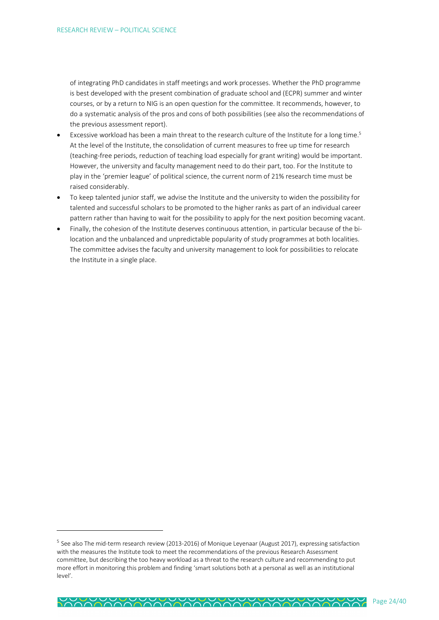of integrating PhD candidates in staff meetings and work processes. Whether the PhD programme is best developed with the present combination of graduate school and (ECPR) summer and winter courses, or by a return to NIG is an open question for the committee. It recommends, however, to do a systematic analysis of the pros and cons of both possibilities (see also the recommendations of the previous assessment report).

- Excessive workload has been a main threat to the research culture of the Institute for a long time.<sup>5</sup> At the level of the Institute, the consolidation of current measures to free up time for research (teaching-free periods, reduction of teaching load especially for grant writing) would be important. However, the university and faculty management need to do their part, too. For the Institute to play in the 'premier league' of political science, the current norm of 21% research time must be raised considerably.
- To keep talented junior staff, we advise the Institute and the university to widen the possibility for talented and successful scholars to be promoted to the higher ranks as part of an individual career pattern rather than having to wait for the possibility to apply for the next position becoming vacant.
- Finally, the cohesion of the Institute deserves continuous attention, in particular because of the bilocation and the unbalanced and unpredictable popularity of study programmes at both localities. The committee advises the faculty and university management to look for possibilities to relocate the Institute in a single place.

 $\overline{a}$ 

<sup>&</sup>lt;sup>5</sup> See also The mid-term research review (2013-2016) of Monique Leyenaar (August 2017), expressing satisfaction with the measures the Institute took to meet the recommendations of the previous Research Assessment committee, but describing the too heavy workload as a threat to the research culture and recommending to put more effort in monitoring this problem and finding 'smart solutions both at a personal as well as an institutional level'.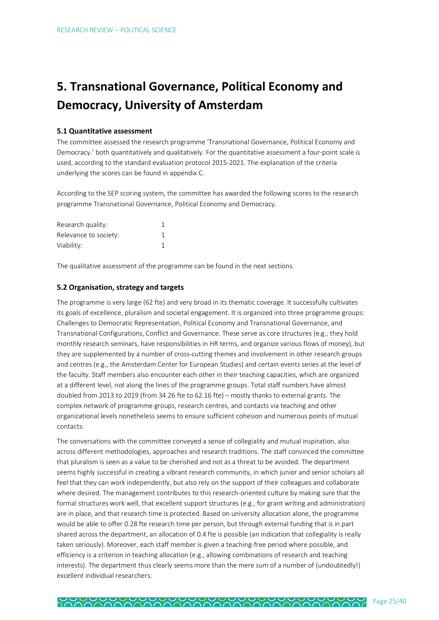# **5. Transnational Governance, Political Economy and Democracy, University of Amsterdam**

#### **5.1 Quantitative assessment**

The committee assessed the research programme 'Transnational Governance, Political Economy and Democracy.' both quantitatively and qualitatively. For the quantitative assessment a four-point scale is used, according to the standard evaluation protocol 2015-2021. The explanation of the criteria underlying the scores can be found in appendix C.

According to the SEP scoring system, the committee has awarded the following scores to the research programme Transnational Governance, Political Economy and Democracy.

| Research quality:     |  |
|-----------------------|--|
| Relevance to society: |  |
| Viability:            |  |

The qualitative assessment of the programme can be found in the next sections.

## **5.2 Organisation, strategy and targets**

The programme is very large (62 fte) and very broad in its thematic coverage. It successfully cultivates its goals of excellence, pluralism and societal engagement. It is organized into three programme groups: Challenges to Democratic Representation, Political Economy and Transnational Governance, and Transnational Configurations, Conflict and Governance. These serve as core structures (e.g., they hold monthly research seminars, have responsibilities in HR terms, and organize various flows of money), but they are supplemented by a number of cross-cutting themes and involvement in other research groups and centres (e.g., the Amsterdam Center for European Studies) and certain events series at the level of the faculty. Staff members also encounter each other in their teaching capacities, which are organized at a different level, not along the lines of the programme groups. Total staff numbers have almost doubled from 2013 to 2019 (from 34.26 fte to 62.16 fte) – mostly thanks to external grants. The complex network of programme groups, research centres, and contacts via teaching and other organizational levels nonetheless seems to ensure sufficient cohesion and numerous points of mutual contacts.

The conversations with the committee conveyed a sense of collegiality and mutual inspiration, also across different methodologies, approaches and research traditions. The staff convinced the committee that pluralism is seen as a value to be cherished and not as a threat to be avoided. The department seems highly successful in creating a vibrant research community, in which junior and senior scholars all feel that they can work independently, but also rely on the support of their colleagues and collaborate where desired. The management contributes to this research-oriented culture by making sure that the formal structures work well, that excellent support structures (e.g., for grant writing and administration) are in place, and that research time is protected. Based on university allocation alone, the programme would be able to offer 0.28 fte research time per person, but through external funding that is in part shared across the department, an allocation of 0.4 fte is possible (an indication that collegiality is really taken seriously). Moreover, each staff member is given a teaching-free period where possible, and efficiency is a criterion in teaching allocation (e.g., allowing combinations of research and teaching interests). The department thus clearly seems more than the mere sum of a number of (undoubtedly!) excellent individual researchers.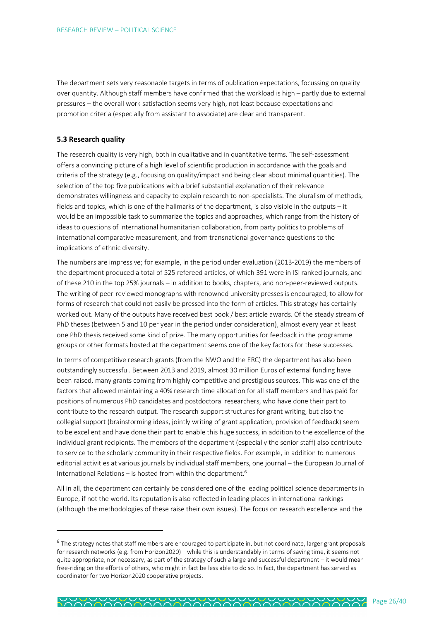The department sets very reasonable targets in terms of publication expectations, focussing on quality over quantity. Although staff members have confirmed that the workload is high – partly due to external pressures – the overall work satisfaction seems very high, not least because expectations and promotion criteria (especially from assistant to associate) are clear and transparent.

#### **5.3 Research quality**

 $\overline{a}$ 

The research quality is very high, both in qualitative and in quantitative terms. The self-assessment offers a convincing picture of a high level of scientific production in accordance with the goals and criteria of the strategy (e.g., focusing on quality/impact and being clear about minimal quantities). The selection of the top five publications with a brief substantial explanation of their relevance demonstrates willingness and capacity to explain research to non-specialists. The pluralism of methods, fields and topics, which is one of the hallmarks of the department, is also visible in the outputs – it would be an impossible task to summarize the topics and approaches, which range from the history of ideas to questions of international humanitarian collaboration, from party politics to problems of international comparative measurement, and from transnational governance questions to the implications of ethnic diversity.

The numbers are impressive; for example, in the period under evaluation (2013-2019) the members of the department produced a total of 525 refereed articles, of which 391 were in ISI ranked journals, and of these 210 in the top 25% journals – in addition to books, chapters, and non-peer-reviewed outputs. The writing of peer-reviewed monographs with renowned university presses is encouraged, to allow for forms of research that could not easily be pressed into the form of articles. This strategy has certainly worked out. Many of the outputs have received best book / best article awards. Of the steady stream of PhD theses (between 5 and 10 per year in the period under consideration), almost every year at least one PhD thesis received some kind of prize. The many opportunities for feedback in the programme groups or other formats hosted at the department seems one of the key factors for these successes.

In terms of competitive research grants (from the NWO and the ERC) the department has also been outstandingly successful. Between 2013 and 2019, almost 30 million Euros of external funding have been raised, many grants coming from highly competitive and prestigious sources. This was one of the factors that allowed maintaining a 40% research time allocation for all staff members and has paid for positions of numerous PhD candidates and postdoctoral researchers, who have done their part to contribute to the research output. The research support structures for grant writing, but also the collegial support (brainstorming ideas, jointly writing of grant application, provision of feedback) seem to be excellent and have done their part to enable this huge success, in addition to the excellence of the individual grant recipients. The members of the department (especially the senior staff) also contribute to service to the scholarly community in their respective fields. For example, in addition to numerous editorial activities at various journals by individual staff members, one journal – the European Journal of International Relations – is hosted from within the department.<sup>6</sup>

All in all, the department can certainly be considered one of the leading political science departments in Europe, if not the world. Its reputation is also reflected in leading places in international rankings (although the methodologies of these raise their own issues). The focus on research excellence and the

 $6$  The strategy notes that staff members are encouraged to participate in, but not coordinate, larger grant proposals for research networks (e.g. from Horizon2020) – while this is understandably in terms of saving time, it seems not quite appropriate, nor necessary, as part of the strategy of such a large and successful department – it would mean free-riding on the efforts of others, who might in fact be less able to do so. In fact, the department has served as coordinator for two Horizon2020 cooperative projects.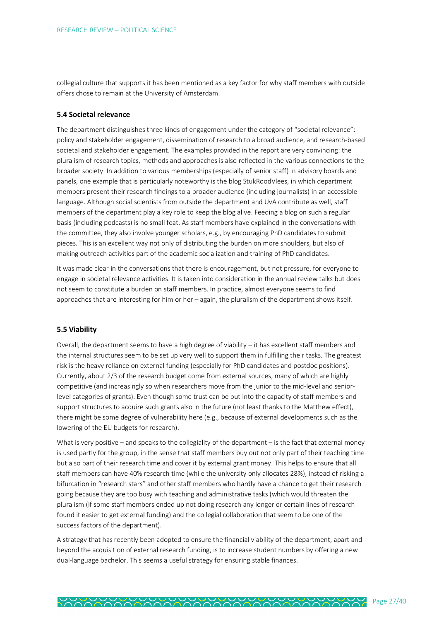collegial culture that supports it has been mentioned as a key factor for why staff members with outside offers chose to remain at the University of Amsterdam.

#### **5.4 Societal relevance**

The department distinguishes three kinds of engagement under the category of "societal relevance": policy and stakeholder engagement, dissemination of research to a broad audience, and research-based societal and stakeholder engagement. The examples provided in the report are very convincing: the pluralism of research topics, methods and approaches is also reflected in the various connections to the broader society. In addition to various memberships (especially of senior staff) in advisory boards and panels, one example that is particularly noteworthy is the blog StukRoodVlees, in which department members present their research findings to a broader audience (including journalists) in an accessible language. Although social scientists from outside the department and UvA contribute as well, staff members of the department play a key role to keep the blog alive. Feeding a blog on such a regular basis (including podcasts) is no small feat. As staff members have explained in the conversations with the committee, they also involve younger scholars, e.g., by encouraging PhD candidates to submit pieces. This is an excellent way not only of distributing the burden on more shoulders, but also of making outreach activities part of the academic socialization and training of PhD candidates.

It was made clear in the conversations that there is encouragement, but not pressure, for everyone to engage in societal relevance activities. It is taken into consideration in the annual review talks but does not seem to constitute a burden on staff members. In practice, almost everyone seems to find approaches that are interesting for him or her – again, the pluralism of the department shows itself.

### **5.5 Viability**

Overall, the department seems to have a high degree of viability – it has excellent staff members and the internal structures seem to be set up very well to support them in fulfilling their tasks. The greatest risk is the heavy reliance on external funding (especially for PhD candidates and postdoc positions). Currently, about 2/3 of the research budget come from external sources, many of which are highly competitive (and increasingly so when researchers move from the junior to the mid-level and seniorlevel categories of grants). Even though some trust can be put into the capacity of staff members and support structures to acquire such grants also in the future (not least thanks to the Matthew effect), there might be some degree of vulnerability here (e.g., because of external developments such as the lowering of the EU budgets for research).

What is very positive – and speaks to the collegiality of the department – is the fact that external money is used partly for the group, in the sense that staff members buy out not only part of their teaching time but also part of their research time and cover it by external grant money. This helps to ensure that all staff members can have 40% research time (while the university only allocates 28%), instead of risking a bifurcation in "research stars" and other staff members who hardly have a chance to get their research going because they are too busy with teaching and administrative tasks (which would threaten the pluralism (if some staff members ended up not doing research any longer or certain lines of research found it easier to get external funding) and the collegial collaboration that seem to be one of the success factors of the department).

A strategy that has recently been adopted to ensure the financial viability of the department, apart and beyond the acquisition of external research funding, is to increase student numbers by offering a new dual-language bachelor. This seems a useful strategy for ensuring stable finances.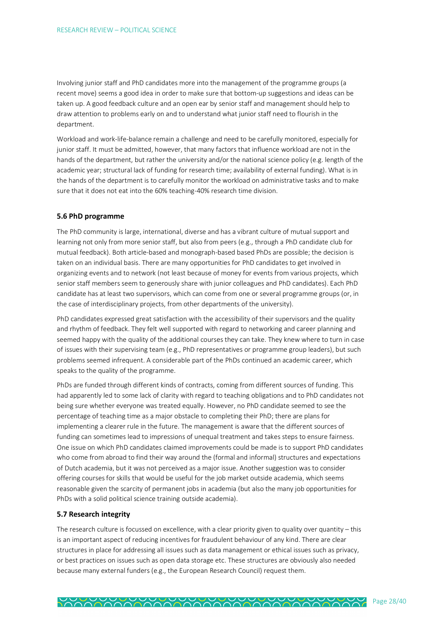Involving junior staff and PhD candidates more into the management of the programme groups (a recent move) seems a good idea in order to make sure that bottom-up suggestions and ideas can be taken up. A good feedback culture and an open ear by senior staff and management should help to draw attention to problems early on and to understand what junior staff need to flourish in the department.

Workload and work-life-balance remain a challenge and need to be carefully monitored, especially for junior staff. It must be admitted, however, that many factors that influence workload are not in the hands of the department, but rather the university and/or the national science policy (e.g. length of the academic year; structural lack of funding for research time; availability of external funding). What is in the hands of the department is to carefully monitor the workload on administrative tasks and to make sure that it does not eat into the 60% teaching-40% research time division.

#### **5.6 PhD programme**

The PhD community is large, international, diverse and has a vibrant culture of mutual support and learning not only from more senior staff, but also from peers (e.g., through a PhD candidate club for mutual feedback). Both article-based and monograph-based based PhDs are possible; the decision is taken on an individual basis. There are many opportunities for PhD candidates to get involved in organizing events and to network (not least because of money for events from various projects, which senior staff members seem to generously share with junior colleagues and PhD candidates). Each PhD candidate has at least two supervisors, which can come from one or several programme groups (or, in the case of interdisciplinary projects, from other departments of the university).

PhD candidates expressed great satisfaction with the accessibility of their supervisors and the quality and rhythm of feedback. They felt well supported with regard to networking and career planning and seemed happy with the quality of the additional courses they can take. They knew where to turn in case of issues with their supervising team (e.g., PhD representatives or programme group leaders), but such problems seemed infrequent. A considerable part of the PhDs continued an academic career, which speaks to the quality of the programme.

PhDs are funded through different kinds of contracts, coming from different sources of funding. This had apparently led to some lack of clarity with regard to teaching obligations and to PhD candidates not being sure whether everyone was treated equally. However, no PhD candidate seemed to see the percentage of teaching time as a major obstacle to completing their PhD; there are plans for implementing a clearer rule in the future. The management is aware that the different sources of funding can sometimes lead to impressions of unequal treatment and takes steps to ensure fairness. One issue on which PhD candidates claimed improvements could be made is to support PhD candidates who come from abroad to find their way around the (formal and informal) structures and expectations of Dutch academia, but it was not perceived as a major issue. Another suggestion was to consider offering courses for skills that would be useful for the job market outside academia, which seems reasonable given the scarcity of permanent jobs in academia (but also the many job opportunities for PhDs with a solid political science training outside academia).

#### **5.7 Research integrity**

The research culture is focussed on excellence, with a clear priority given to quality over quantity – this is an important aspect of reducing incentives for fraudulent behaviour of any kind. There are clear structures in place for addressing all issues such as data management or ethical issues such as privacy, or best practices on issues such as open data storage etc. These structures are obviously also needed because many external funders (e.g., the European Research Council) request them.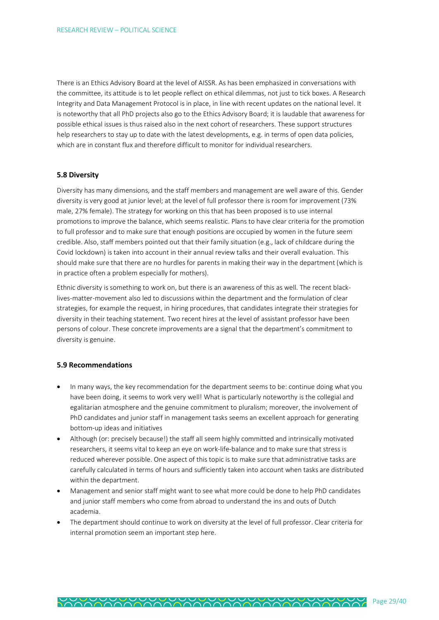There is an Ethics Advisory Board at the level of AISSR. As has been emphasized in conversations with the committee, its attitude is to let people reflect on ethical dilemmas, not just to tick boxes. A Research Integrity and Data Management Protocol is in place, in line with recent updates on the national level. It is noteworthy that all PhD projects also go to the Ethics Advisory Board; it is laudable that awareness for possible ethical issues is thus raised also in the next cohort of researchers. These support structures help researchers to stay up to date with the latest developments, e.g. in terms of open data policies, which are in constant flux and therefore difficult to monitor for individual researchers.

### **5.8 Diversity**

Diversity has many dimensions, and the staff members and management are well aware of this. Gender diversity is very good at junior level; at the level of full professor there is room for improvement (73% male, 27% female). The strategy for working on this that has been proposed is to use internal promotions to improve the balance, which seems realistic. Plans to have clear criteria for the promotion to full professor and to make sure that enough positions are occupied by women in the future seem credible. Also, staff members pointed out that their family situation (e.g., lack of childcare during the Covid lockdown) is taken into account in their annual review talks and their overall evaluation. This should make sure that there are no hurdles for parents in making their way in the department (which is in practice often a problem especially for mothers).

Ethnic diversity is something to work on, but there is an awareness of this as well. The recent blacklives-matter-movement also led to discussions within the department and the formulation of clear strategies, for example the request, in hiring procedures, that candidates integrate their strategies for diversity in their teaching statement. Two recent hires at the level of assistant professor have been persons of colour. These concrete improvements are a signal that the department's commitment to diversity is genuine.

### **5.9 Recommendations**

- In many ways, the key recommendation for the department seems to be: continue doing what you have been doing, it seems to work very well! What is particularly noteworthy is the collegial and egalitarian atmosphere and the genuine commitment to pluralism; moreover, the involvement of PhD candidates and junior staff in management tasks seems an excellent approach for generating bottom-up ideas and initiatives
- Although (or: precisely because!) the staff all seem highly committed and intrinsically motivated researchers, it seems vital to keep an eye on work-life-balance and to make sure that stress is reduced wherever possible. One aspect of this topic is to make sure that administrative tasks are carefully calculated in terms of hours and sufficiently taken into account when tasks are distributed within the department.
- Management and senior staff might want to see what more could be done to help PhD candidates and junior staff members who come from abroad to understand the ins and outs of Dutch academia.
- The department should continue to work on diversity at the level of full professor. Clear criteria for internal promotion seem an important step here.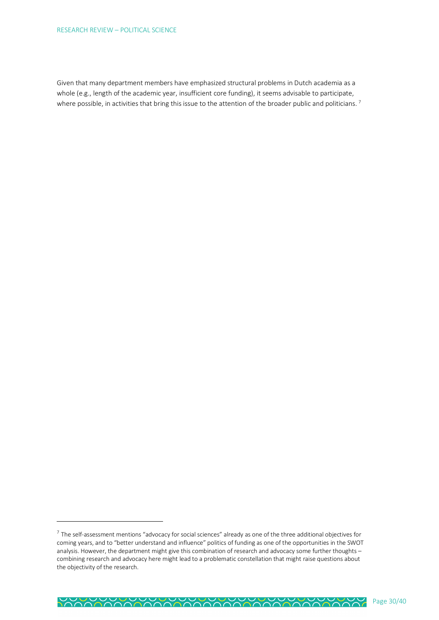$\overline{a}$ 

Given that many department members have emphasized structural problems in Dutch academia as a whole (e.g., length of the academic year, insufficient core funding), it seems advisable to participate, where possible, in activities that bring this issue to the attention of the broader public and politicians.<sup>7</sup>

 $^7$  The self-assessment mentions "advocacy for social sciences" already as one of the three additional objectives for coming years, and to "better understand and influence" politics of funding as one of the opportunities in the SWOT analysis. However, the department might give this combination of research and advocacy some further thoughts – combining research and advocacy here might lead to a problematic constellation that might raise questions about the objectivity of the research.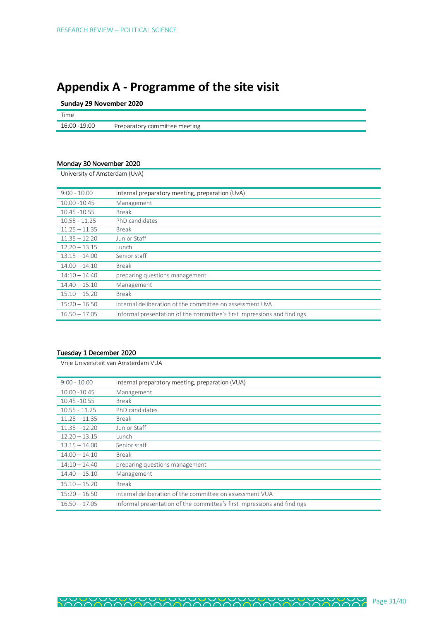# **Appendix A - Programme of the site visit**

**Sunday 29 November 2020**

| Time          |                               |
|---------------|-------------------------------|
| 16:00 - 19:00 | Preparatory committee meeting |

# Monday 30 November 2020

University of Amsterdam (UvA)

| $9:00 - 10.00$  | Internal preparatory meeting, preparation (UvA)                         |
|-----------------|-------------------------------------------------------------------------|
| 10.00 - 10.45   | Management                                                              |
| 10.45 - 10.55   | <b>Break</b>                                                            |
| $10.55 - 11.25$ | PhD candidates                                                          |
| $11.25 - 11.35$ | <b>Break</b>                                                            |
| $11.35 - 12.20$ | Junior Staff                                                            |
| $12.20 - 13.15$ | Lunch                                                                   |
| $13.15 - 14.00$ | Senior staff                                                            |
| $14.00 - 14.10$ | <b>Break</b>                                                            |
| $14:10 - 14.40$ | preparing questions management                                          |
| $14.40 - 15.10$ | Management                                                              |
| $15.10 - 15.20$ | <b>Break</b>                                                            |
| $15:20 - 16.50$ | internal deliberation of the committee on assessment UvA                |
| $16.50 - 17.05$ | Informal presentation of the committee's first impressions and findings |

# Tuesday 1 December 2020

Vrije Universiteit van Amsterdam VUA

| $9:00 - 10.00$  | Internal preparatory meeting, preparation (VUA)                         |
|-----------------|-------------------------------------------------------------------------|
| $10.00 - 10.45$ | Management                                                              |
| 10.45 - 10.55   | Break                                                                   |
| $10.55 - 11.25$ | PhD candidates                                                          |
| $11.25 - 11.35$ | <b>Break</b>                                                            |
| $11.35 - 12.20$ | Junior Staff                                                            |
| $12.20 - 13.15$ | Lunch                                                                   |
| $13.15 - 14.00$ | Senior staff                                                            |
| $14.00 - 14.10$ | <b>Break</b>                                                            |
| $14:10 - 14.40$ | preparing questions management                                          |
| $14.40 - 15.10$ | Management                                                              |
| $15.10 - 15.20$ | <b>Break</b>                                                            |
| $15:20 - 16.50$ | internal deliberation of the committee on assessment VUA                |
| $16.50 - 17.05$ | Informal presentation of the committee's first impressions and findings |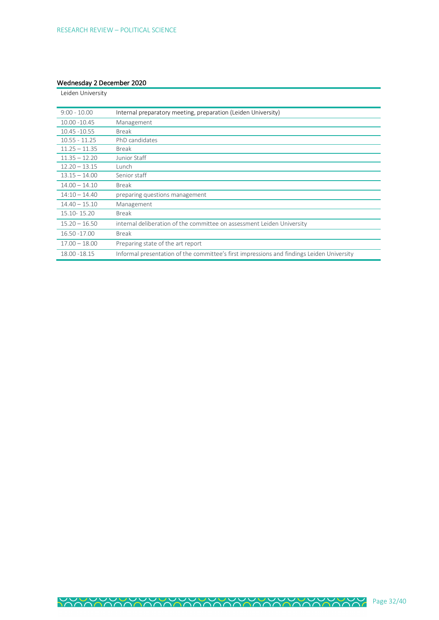# Wednesday 2 December 2020

| Leiden University |                                                                                           |
|-------------------|-------------------------------------------------------------------------------------------|
|                   |                                                                                           |
| $9:00 - 10.00$    | Internal preparatory meeting, preparation (Leiden University)                             |
| 10.00 - 10.45     | Management                                                                                |
| 10.45 - 10.55     | <b>Break</b>                                                                              |
| $10.55 - 11.25$   | PhD candidates                                                                            |
| $11.25 - 11.35$   | <b>Break</b>                                                                              |
| $11.35 - 12.20$   | Junior Staff                                                                              |
| $12.20 - 13.15$   | Lunch                                                                                     |
| $13.15 - 14.00$   | Senior staff                                                                              |
| $14.00 - 14.10$   | <b>Break</b>                                                                              |
| $14:10 - 14.40$   | preparing questions management                                                            |
| $14.40 - 15.10$   | Management                                                                                |
| 15.10-15.20       | <b>Break</b>                                                                              |
| $15.20 - 16.50$   | internal deliberation of the committee on assessment Leiden University                    |
| 16.50 - 17.00     | <b>Break</b>                                                                              |
| $17.00 - 18.00$   | Preparing state of the art report                                                         |
| 18.00 - 18.15     | Informal presentation of the committee's first impressions and findings Leiden University |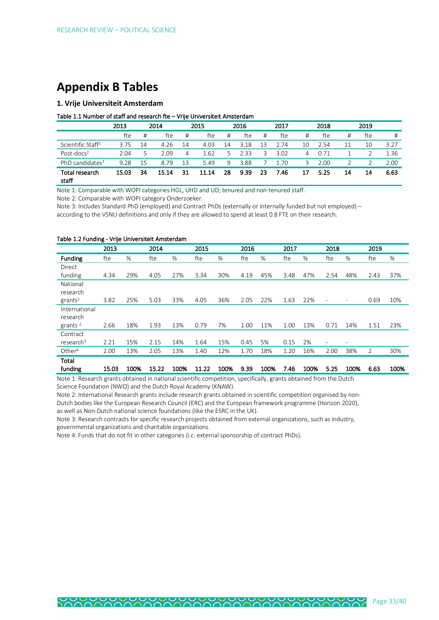# **Appendix B Tables**

# **1. Vrije Universiteit Amsterdam**

#### Table 1.1 Number of staff and research fte – Vrije Universiteit Amsterdam

|                                | 2013<br>2014 |    | 2015  |    |       | 2016 |      | 2017 |      | 2018 |      | 2019 |     |      |
|--------------------------------|--------------|----|-------|----|-------|------|------|------|------|------|------|------|-----|------|
|                                | fte          | #  | fte   | #  | fte   | #    | fte  | #    | fte  | #    | fte  | #    | fte | #    |
| Scientific Staff <sup>1</sup>  | 3.75         | 14 | 4.26  | 14 | 4.03  | 14   | 3.18 | 3    | 2.74 | 10   | 2.54 |      | 10  | 3.27 |
| Post-docs <sup>2</sup>         | 2.04         |    | 2.09  | 4  | 1.62  | 5    | 2.33 | 3    | 3.02 | 4    | 0.71 |      |     | 1.36 |
| PhD candidates <sup>3</sup>    | 9.28         | 15 | 8.79  | 13 | 5.49  | 9    | 3.88 |      | 1.70 | 3.   | 2.00 |      |     | 2.00 |
| <b>Total research</b><br>staff | 15.03        | 34 | 15.14 | 31 | 11.14 | 28   | 9.39 | -23  | 7.46 | 17   | 5.25 | 14   | 14  | 6.63 |

Note 1: Comparable with WOPI categories HGL, UHD and UD; tenured and non-tenured staff.

Note 2: Comparable with WOPI category Onderzoeker.

Note 3: Includes Standard PhD (employed) and Contract PhDs (externally or internally funded but not employed) – according to the VSNU definitions and only if they are allowed to spend at least 0.8 FTE on their research.

#### Table 1.2 Funding - Vrije Universiteit Amsterdam

|                                   | 2013  |      | 2014  |      | 2015  |      | 2016 |      | 2017 |      | 2018                     |      | 2019           |      |
|-----------------------------------|-------|------|-------|------|-------|------|------|------|------|------|--------------------------|------|----------------|------|
| Funding                           | fte   | %    | fte   | $\%$ | fte   | %    | fte  | %    | fte  | %    | fte                      | %    | fte            | %    |
| Direct                            |       |      |       |      |       |      |      |      |      |      |                          |      |                |      |
| funding                           | 4.34  | 29%  | 4.05  | 27%  | 3.34  | 30%  | 4.19 | 45%  | 3.48 | 47%  | 2.54                     | 48%  | 2.43           | 37%  |
| National<br>research              |       |      |       |      |       |      |      |      |      |      |                          |      |                |      |
| grants <sup>1</sup>               | 3.82  | 25%  | 5.03  | 33%  | 4.05  | 36%  | 2.05 | 22%  | 1.63 | 22%  | ۰                        | ٠    | 0.69           | 10%  |
| International<br>research         |       |      |       |      |       |      |      |      |      |      |                          |      |                |      |
| grants <sup>2</sup>               | 2.66  | 18%  | 1.93  | 13%  | 0.79  | 7%   | 1.00 | 11%  | 1.00 | 13%  | 0.71                     | 14%  | 1.51           | 23%  |
| Contract<br>research <sup>3</sup> | 2.21  | 15%  | 2.15  | 14%  | 1.64  | 15%  | 0.45 | 5%   | 0.15 | 2%   | $\overline{\phantom{a}}$ | ۰    |                |      |
| Other <sup>4</sup>                | 2.00  | 13%  | 2.05  | 13%  | 1.40  | 12%  | 1.70 | 18%  | 1.20 | 16%  | 2.00                     | 38%  | $\overline{2}$ | 30%  |
| Total<br>funding                  | 15.03 | 100% | 15.22 | 100% | 11.22 | 100% | 9.39 | 100% | 7.46 | 100% | 5.25                     | 100% | 6.63           | 100% |

Note 1: Research grants obtained in national scientific competition, specifically, grants obtained from the Dutch Science Foundation (NWO) and the Dutch Royal Academy (KNAW).

Note 2: International Research grants include research grants obtained in scientific competition organised by non-

Dutch bodies like the European Research Council (ERC) and the European framework programme (Horizon 2020),

as well as Non-Dutch national science foundations (like the ESRC in the UK).

Note 3: Research contracts for specific research projects obtained from external organizations, such as industry, governmental organizations and charitable organizations.

Note 4: Funds that do not fit in other categories (i.c. external sponsorship of contract PhDs).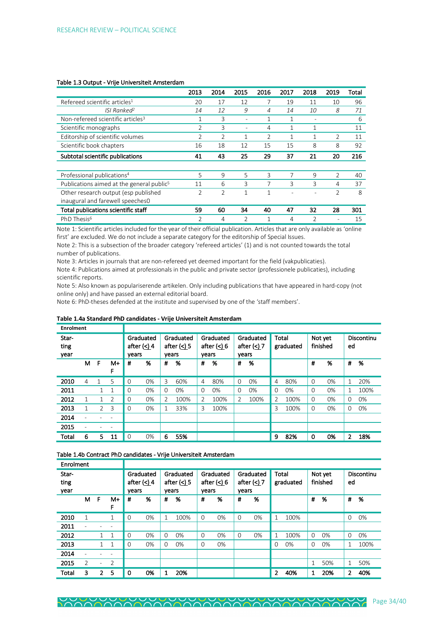|                                                       | 2013           | 2014           | 2015                     | 2016           | 2017 | 2018          | 2019           | Total |
|-------------------------------------------------------|----------------|----------------|--------------------------|----------------|------|---------------|----------------|-------|
| Refereed scientific articles <sup>1</sup>             | 20             | 17             | 12                       | 7              | 19   | 11            | 10             | 96    |
| ISI Ranked <sup>2</sup>                               | 14             | 12             | 9                        | 4              | 14   | 10            | 8              | 71    |
| Non-refereed scientific articles <sup>3</sup>         |                | 3              |                          | 1              | 1    |               |                | 6     |
| Scientific monographs                                 | 2              | 3              | $\overline{\phantom{a}}$ | 4              | 1    | 1             |                | 11    |
| Editorship of scientific volumes                      | 2              | $\overline{2}$ |                          | $\overline{2}$ |      | 1             | $\overline{2}$ | 11    |
| Scientific book chapters                              | 16             | 18             | 12                       | 15             | 15   | 8             | 8              | 92    |
| Subtotal scientific publications                      | 41             | 43             | 25                       | 29             | 37   | 21            | 20             | 216   |
|                                                       |                |                |                          |                |      |               |                |       |
| Professional publications <sup>4</sup>                | 5              | 9              | 5                        | 3              |      | 9             | $\overline{2}$ | 40    |
| Publications aimed at the general public <sup>5</sup> | 11             | 6              | 3                        | 7              | 3    | 3             | 4              | 37    |
| Other research output (esp published                  | $\overline{2}$ | $\overline{2}$ | 1                        | 1              |      |               | $\overline{2}$ | 8     |
| inaugural and farewell speeches0                      |                |                |                          |                |      |               |                |       |
| Total publications scientific staff                   | 59             | 60             | 34                       | 40             | 47   | 32            | 28             | 301   |
| PhD Thesis <sup>6</sup>                               | $\mathfrak{D}$ | 4              | $\overline{2}$           | 1              | 4    | $\mathcal{P}$ | ۰              | 15    |

#### Table 1.3 Output - Vrije Universiteit Amsterdam

Note 1: Scientific articles included for the year of their official publication. Articles that are only available as 'online first' are excluded. We do not include a separate category for the editorship of Special Issues.

Note 2: This is a subsection of the broader category 'refereed articles' (1) and is not counted towards the total number of publications.

Note 3: Articles in journals that are non-refereed yet deemed important for the field (vakpublicaties).

Note 4: Publications aimed at professionals in the public and private sector (professionele publicaties), including scientific reports.

Note 5: Also known as populariserende artikelen. Only including publications that have appeared in hard-copy (not online only) and have passed an external editorial board.

Note 6: PhD-theses defended at the institute and supervised by one of the 'staff members'.

| <b>Enrolment</b>      |                |                |                |             |                            |               |                                 |                          |                                     |          |                                     |       |           |          |                     |          |            |
|-----------------------|----------------|----------------|----------------|-------------|----------------------------|---------------|---------------------------------|--------------------------|-------------------------------------|----------|-------------------------------------|-------|-----------|----------|---------------------|----------|------------|
| Star-<br>ting<br>year |                |                |                | vears       | Graduated<br>after $(<)$ 4 | vears         | Graduated<br>after $( \leq )$ 5 |                          | Graduated<br>after $(<) 6$<br>vears |          | Graduated<br>after $(<) 7$<br>vears | Total | graduated |          | Not yet<br>finished | ed       | Discontinu |
|                       | м              | F              | M+<br>F        | #           | %                          | #             | %                               | #                        | %                                   | #        | %                                   |       |           | #        | %                   | #        | %          |
| 2010                  | 4              | 1              | 5              | $\Omega$    | 0%                         | 3             | 60%                             | 4                        | 80%                                 | $\Omega$ | $0\%$                               | 4     | 80%       | $\Omega$ | $0\%$               | 1        | 20%        |
| 2011                  |                | 1.             | $\mathbf{1}$   | $\Omega$    | 0%                         | $\Omega$      | $0\%$                           | $\Omega$                 | $0\%$                               | $\Omega$ | 0%                                  | 0     | 0%        | $\Omega$ | 0%                  | 1        | 100%       |
| 2012                  | 1              | 1.             | $\overline{2}$ | $\Omega$    | 0%                         | $\mathcal{P}$ | 100%                            | $\overline{\mathcal{L}}$ | 100%                                | 2        | 100%                                | 2     | 100%      | $\Omega$ | $0\%$               | $\Omega$ | 0%         |
| 2013                  | 1              | $\overline{2}$ | 3              | $\Omega$    | 0%                         |               | 33%                             | 3                        | 100%                                |          |                                     | 3     | 100%      | $\Omega$ | 0%                  | $\Omega$ | 0%         |
| 2014                  | $\overline{a}$ |                | ۰              |             |                            |               |                                 |                          |                                     |          |                                     |       |           |          |                     |          |            |
| 2015                  | $\overline{a}$ |                | -              |             |                            |               |                                 |                          |                                     |          |                                     |       |           |          |                     |          |            |
| Total                 | 6              | 5.             | 11             | $\mathbf 0$ | 0%                         | 6             | 55%                             |                          |                                     |          |                                     | 9     | 82%       | 0        | 0%                  | 2        | 18%        |

#### **Table 1.4a Standard PhD candidates - Vrije Universiteit Amsterdam**

Table 1.4b Contract PhD candidates - Vrije Universiteit Amsterdam

| Enrolment             |                          |                          |         |             |                            |          |                            |          |                            |       |                            |       |           |          |                     |              |                   |
|-----------------------|--------------------------|--------------------------|---------|-------------|----------------------------|----------|----------------------------|----------|----------------------------|-------|----------------------------|-------|-----------|----------|---------------------|--------------|-------------------|
| Star-<br>ting<br>year |                          |                          |         | vears       | Graduated<br>after $(<)$ 4 | vears    | Graduated<br>after $(<)$ 5 | vears    | Graduated<br>after $(<) 6$ | vears | Graduated<br>after $(<) 7$ | Total | graduated |          | Not yet<br>finished | ed           | <b>Discontinu</b> |
|                       | м                        | F                        | M+<br>F | #           | %                          | #        | %                          | #        | %                          | #     | %                          |       |           | #        | %                   | #            | %                 |
| 2010                  | 1                        |                          | 1       | $\mathbf 0$ | 0%                         | 1        | 100%                       | $\Omega$ | 0%                         | 0     | 0%                         | 1     | 100%      |          |                     | $\Omega$     | 0%                |
| 2011                  | $\overline{\phantom{a}}$ |                          |         |             |                            |          |                            |          |                            |       |                            |       |           |          |                     |              |                   |
| 2012                  |                          | $\mathbf{1}$             | 1       | $\mathbf 0$ | $0\%$                      | $\Omega$ | 0%                         | $\Omega$ | 0%                         | 0     | 0%                         | 1     | 100%      | $\Omega$ | 0%                  | $\Omega$     | 0%                |
| 2013                  |                          | 1                        | 1       | $\Omega$    | 0%                         | $\Omega$ | 0%                         | $\Omega$ | 0%                         |       |                            | 0     | $0\%$     | 0        | 0%                  | 1            | 100%              |
| 2014                  |                          |                          |         |             |                            |          |                            |          |                            |       |                            |       |           |          |                     |              |                   |
| 2015                  | $\overline{2}$           | $\overline{\phantom{a}}$ | 2       |             |                            |          |                            |          |                            |       |                            |       |           | 1        | 50%                 | $\mathbf{1}$ | 50%               |
| Total                 | 3                        | $\overline{2}$           | 5       | 0           | 0%                         | 1        | 20%                        |          |                            |       |                            | 2     | 40%       | 1        | 20%                 | 2            | 40%               |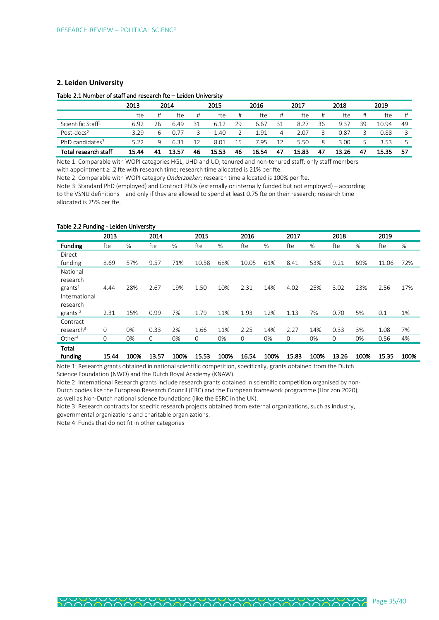### **2. Leiden University**

#### Table 2.1 Number of staff and research fte – Leiden University

|                               | 2013  |    | 2014  |    | 2015  |    | 2016  |     | 2017  |    | 2018  |    | 2019  |    |
|-------------------------------|-------|----|-------|----|-------|----|-------|-----|-------|----|-------|----|-------|----|
|                               | fte   |    | fte   | #  | fte   | #  | fte   | #   | fte   | #  | fte   | #  | fte   | #  |
| Scientific Staff <sup>1</sup> | 6.92  | 26 | 6.49  | 31 | 6.12  | 29 | 6.67  | 31  | 8.27  | 36 | 9.37  | 39 | 10.94 | 49 |
| Post-docs <sup>2</sup>        | 3.29  | 6  | 0.77  |    | .40   |    | 191   | 4   | 2.07  | 3  | 0.87  |    | 0.88  |    |
| PhD candidates <sup>3</sup>   | 5.22  | q  | 6.31  | 12 | 8.01  | 15 | 7.95  | 12  | 5.50  | 8  | 3.00  |    | 3.53  |    |
| Total research staff          | 15.44 |    | 13.57 | 46 | 15.53 | 46 | 16.54 | -47 | 15.83 | 47 | 13.26 | 47 | 15.35 | 57 |

Note 1: Comparable with WOPI categories HGL, UHD and UD; tenured and non-tenured staff; only staff members with appointment ≥ .2 fte with research time; research time allocated is 21% per fte.

Note 2: Comparable with WOPI category *Onderzoeker*; research time allocated is 100% per fte.

Note 3: Standard PhD (employed) and Contract PhDs (externally or internally funded but not employed) – according to the VSNU definitions – and only if they are allowed to spend at least 0.75 fte on their research; research time allocated is 75% per fte.

#### Table 2.2 Funding - Leiden University

|                       | 2013  |      | 2014  |      | 2015  |      | 2016  |      | 2017  |      | 2018  |      | 2019  |      |
|-----------------------|-------|------|-------|------|-------|------|-------|------|-------|------|-------|------|-------|------|
| Funding               | fte   | %    | fte   | %    | fte   | %    | fte   | %    | fte   | %    | fte   | %    | fte   | %    |
| Direct                |       |      |       |      |       |      |       |      |       |      |       |      |       |      |
| funding               | 8.69  | 57%  | 9.57  | 71%  | 10.58 | 68%  | 10.05 | 61%  | 8.41  | 53%  | 9.21  | 69%  | 11.06 | 72%  |
| National              |       |      |       |      |       |      |       |      |       |      |       |      |       |      |
| research              |       |      |       |      |       |      |       |      |       |      |       |      |       |      |
| grants <sup>1</sup>   | 4.44  | 28%  | 2.67  | 19%  | 1.50  | 10%  | 2.31  | 14%  | 4.02  | 25%  | 3.02  | 23%  | 2.56  | 17%  |
| International         |       |      |       |      |       |      |       |      |       |      |       |      |       |      |
| research              |       |      |       |      |       |      |       |      |       |      |       |      |       |      |
| grants <sup>2</sup>   | 2.31  | 15%  | 0.99  | 7%   | 1.79  | 11%  | 1.93  | 12%  | 1.13  | 7%   | 0.70  | 5%   | 0.1   | 1%   |
| Contract              |       |      |       |      |       |      |       |      |       |      |       |      |       |      |
| research <sup>3</sup> | 0     | 0%   | 0.33  | 2%   | 1.66  | 11%  | 2.25  | 14%  | 2.27  | 14%  | 0.33  | 3%   | 1.08  | 7%   |
| Other <sup>4</sup>    | 0     | 0%   | 0     | 0%   | 0     | 0%   | 0     | 0%   | 0     | 0%   | 0     | 0%   | 0.56  | 4%   |
| Total                 |       |      |       |      |       |      |       |      |       |      |       |      |       |      |
| funding               | 15.44 | 100% | 13.57 | 100% | 15.53 | 100% | 16.54 | 100% | 15.83 | 100% | 13.26 | 100% | 15.35 | 100% |

Note 1: Research grants obtained in national scientific competition, specifically, grants obtained from the Dutch Science Foundation (NWO) and the Dutch Royal Academy (KNAW).

Note 2: International Research grants include research grants obtained in scientific competition organised by non-

Dutch bodies like the European Research Council (ERC) and the European framework programme (Horizon 2020),

as well as Non-Dutch national science foundations (like the ESRC in the UK).

Note 3: Research contracts for specific research projects obtained from external organizations, such as industry, governmental organizations and charitable organizations.

Note 4: Funds that do not fit in other categories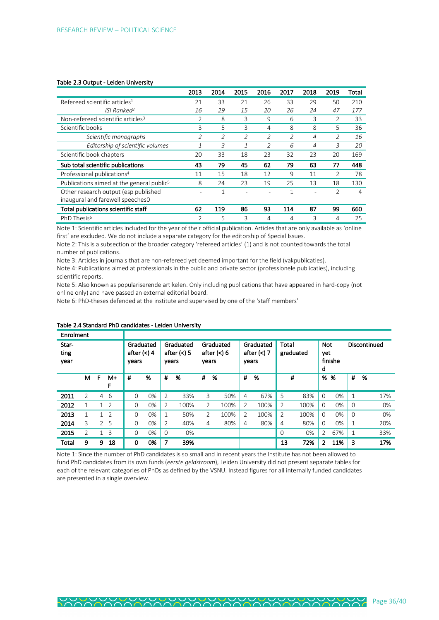#### Table 2.3 Output - Leiden University

|                                                                          | 2013                     | 2014 | 2015                     | 2016                     | 2017 | 2018 | 2019           | Total |
|--------------------------------------------------------------------------|--------------------------|------|--------------------------|--------------------------|------|------|----------------|-------|
| Refereed scientific articles <sup>1</sup>                                | 21                       | 33   | 21                       | 26                       | 33   | 29   | 50             | 210   |
| ISI Ranked <sup>2</sup>                                                  | 16                       | 29   | 15                       | 20                       | 26   | 24   | 47             | 177   |
| Non-refereed scientific articles <sup>3</sup>                            | $\overline{2}$           | 8    | 3                        | 9                        | 6    | 3    | 2              | 33    |
| Scientific books                                                         | 3                        | 5    | 3                        | 4                        | 8    | 8    | 5              | 36    |
| Scientific monographs                                                    | 2                        | 2    | $\overline{\mathcal{L}}$ | 2                        |      | 4    | 2              | 16    |
| Editorship of scientific volumes                                         |                          | 3    | 1                        | $\overline{\mathcal{L}}$ | 6    | 4    | 3              | 20    |
| Scientific book chapters                                                 | 20                       | 33   | 18                       | 23                       | 32   | 23   | 20             | 169   |
| Sub total scientific publications                                        | 43                       | 79   | 45                       | 62                       | 79   | 63   | 77             | 448   |
| Professional publications <sup>4</sup>                                   | 11                       | 15   | 18                       | 12                       | 9    | 11   | 2              | 78    |
| Publications aimed at the general public <sup>5</sup>                    | 8                        | 24   | 23                       | 19                       | 25   | 13   | 18             | 130   |
| Other research output (esp published<br>inaugural and farewell speeches0 | $\overline{\phantom{a}}$ | 1    |                          |                          | 1    | ٠    | $\overline{2}$ | 4     |
| Total publications scientific staff                                      | 62                       | 119  | 86                       | 93                       | 114  | 87   | 99             | 660   |
| PhD Thesis <sup>6</sup>                                                  | $\overline{2}$           | 5    | 3                        | 4                        | 4    | 3    | 4              | 25    |

Note 1: Scientific articles included for the year of their official publication. Articles that are only available as 'online first' are excluded. We do not include a separate category for the editorship of Special Issues.

Note 2: This is a subsection of the broader category 'refereed articles' (1) and is not counted towards the total number of publications.

Note 3: Articles in journals that are non-refereed yet deemed important for the field (vakpublicaties).

Note 4: Publications aimed at professionals in the public and private sector (professionele publicaties), including scientific reports.

Note 5: Also known as populariserende artikelen. Only including publications that have appeared in hard-copy (not online only) and have passed an external editorial board.

Note 6: PhD-theses defended at the institute and supervised by one of the 'staff members'

| Enrolment             |                |                |         |                                     |       |                |                            |       |                            |                |                                     |                |           |                        |         |              |              |
|-----------------------|----------------|----------------|---------|-------------------------------------|-------|----------------|----------------------------|-------|----------------------------|----------------|-------------------------------------|----------------|-----------|------------------------|---------|--------------|--------------|
| Star-<br>ting<br>year |                |                |         | Graduated<br>after $(<)$ 4<br>years |       | years          | Graduated<br>after $(<)$ 5 | years | Graduated<br>after $(<) 6$ |                | Graduated<br>after $(<) 7$<br>years | Total          | graduated | <b>Not</b><br>yet<br>d | finishe |              | Discontinued |
|                       | M              | F              | M+<br>F | #                                   | %     | #              | %                          | #     | %                          | #              | %                                   |                | #         | %                      | %       | #            | %            |
| 2011                  | $\overline{2}$ | 4              | 6       | $\Omega$                            | $0\%$ | $\overline{2}$ | 33%                        | 3     | 50%                        | 4              | 67%                                 | 5              | 83%       | $\Omega$               | 0%      | $\mathbf{1}$ | 17%          |
| 2012                  | 1              | $\mathbf{1}$   | 2       | $\Omega$                            | 0%    | 2              | 100%                       | 2     | 100%                       | $\overline{2}$ | 100%                                | $\overline{2}$ | 100%      | 0                      | 0%      | $\Omega$     | 0%           |
| 2013                  | 1              |                | 2       | $\Omega$                            | 0%    | 1              | 50%                        | 2     | 100%                       | 2              | 100%                                | 2              | 100%      | $\Omega$               | 0%      | $\Omega$     | 0%           |
| 2014                  | 3              | $\overline{2}$ | -5      | $\Omega$                            | 0%    | 2              | 40%                        | 4     | 80%                        | 4              | 80%                                 | 4              | 80%       | $\Omega$               | 0%      | $\mathbf{1}$ | 20%          |
| 2015                  | $\overline{2}$ |                | 3       | $\Omega$                            | 0%    | 0              | 0%                         |       |                            |                |                                     | 0              | 0%        | $\overline{2}$         | 67%     | $\mathbf{1}$ | 33%          |
| Total                 | 9              | 9              | 18      | 0                                   | 0%    | 7              | 39%                        |       |                            |                |                                     | 13             | 72%       | 2                      | 11%     | 3            | 17%          |

#### Table 2.4 Standard PhD candidates - Leiden University

Note 1: Since the number of PhD candidates is so small and in recent years the Institute has not been allowed to fund PhD candidates from its own funds (*eerste geldstroom*), Leiden University did not present separate tables for each of the relevant categories of PhDs as defined by the VSNU. Instead figures for all internally funded candidates are presented in a single overview.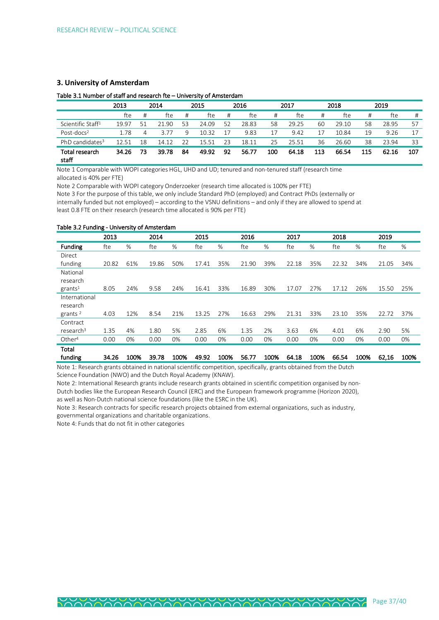### **3. University of Amsterdam**

# Table 3.1 Number of staff and research fte – University of Amsterdam

|                               | 2013  |    | 2014      |    | 2015  |    | 2016  |     | 2017  |     | 2018  |     | 2019  |     |
|-------------------------------|-------|----|-----------|----|-------|----|-------|-----|-------|-----|-------|-----|-------|-----|
|                               | fte   | #  | fte       | #  | fte   | #  | fte   | #   | fte   | #   | fte   | #   | fte   | #   |
| Scientific Staff <sup>1</sup> | 19.97 | 51 | -90<br>21 | 53 | 24.09 | 52 | 28.83 | 58  | 29.25 | 60  | 29.10 | 58  | 28.95 | 57  |
| Post-docs <sup>2</sup>        | 1.78  | 4  | 3.77      | 9  | 10.32 |    | 9.83  | 17  | 9.42  | 17  | 10.84 | 19  | 9.26  | 17  |
| PhD candidates <sup>3</sup>   | 12.51 | 18 | 14.12     | 22 | 15.51 | 23 | 18.11 | 25  | 25.51 | 36  | 26.60 | 38  | 23.94 | 33  |
| Total research<br>staff       | 34.26 | 73 | 39.78     | 84 | 49.92 | 92 | 56.77 | 100 | 64.18 | 113 | 66.54 | 115 | 62.16 | 107 |

Note 1 Comparable with WOPI categories HGL, UHD and UD; tenured and non-tenured staff (research time allocated is 40% per FTE)

Note 2 Comparable with WOPI category Onderzoeker (research time allocated is 100% per FTE) Note 3 For the purpose of this table, we only include Standard PhD (employed) and Contract PhDs (externally or internally funded but not employed) – according to the VSNU definitions – and only if they are allowed to spend at least 0.8 FTE on their research (research time allocated is 90% per FTE)

#### Table 3.2 Funding - University of Amsterdam

|                       | 2013  |      | 2014  |      | 2015  |      | 2016  |      | 2017  |      | 2018  |      | 2019  |      |
|-----------------------|-------|------|-------|------|-------|------|-------|------|-------|------|-------|------|-------|------|
| <b>Funding</b>        | fte   | %    | fte   | %    | fte   | %    | fte   | %    | fte   | %    | fte   | %    | fte   | %    |
| Direct                |       |      |       |      |       |      |       |      |       |      |       |      |       |      |
| funding               | 20.82 | 61%  | 19.86 | 50%  | 17.41 | 35%  | 21.90 | 39%  | 22.18 | 35%  | 22.32 | 34%  | 21.05 | 34%  |
| National              |       |      |       |      |       |      |       |      |       |      |       |      |       |      |
| research              |       |      |       |      |       |      |       |      |       |      |       |      |       |      |
| grants <sup>1</sup>   | 8.05  | 24%  | 9.58  | 24%  | 16.41 | 33%  | 16.89 | 30%  | 17.07 | 27%  | 17.12 | 26%  | 15.50 | 25%  |
| International         |       |      |       |      |       |      |       |      |       |      |       |      |       |      |
| research              |       |      |       |      |       |      |       |      |       |      |       |      |       |      |
| grants $2$            | 4.03  | 12%  | 8.54  | 21%  | 13.25 | 27%  | 16.63 | 29%  | 21.31 | 33%  | 23.10 | 35%  | 22.72 | 37%  |
| Contract              |       |      |       |      |       |      |       |      |       |      |       |      |       |      |
| research <sup>3</sup> | 1.35  | 4%   | 1.80  | 5%   | 2.85  | 6%   | 1.35  | 2%   | 3.63  | 6%   | 4.01  | 6%   | 2.90  | 5%   |
| Other <sup>4</sup>    | 0.00  | 0%   | 0.00  | 0%   | 0.00  | 0%   | 0.00  | 0%   | 0.00  | 0%   | 0.00  | 0%   | 0.00  | 0%   |
| Total                 |       |      |       |      |       |      |       |      |       |      |       |      |       |      |
| funding               | 34.26 | 100% | 39.78 | 100% | 49.92 | 100% | 56.77 | 100% | 64.18 | 100% | 66.54 | 100% | 62,16 | 100% |

Note 1: Research grants obtained in national scientific competition, specifically, grants obtained from the Dutch Science Foundation (NWO) and the Dutch Royal Academy (KNAW).

Note 2: International Research grants include research grants obtained in scientific competition organised by non-Dutch bodies like the European Research Council (ERC) and the European framework programme (Horizon 2020), as well as Non-Dutch national science foundations (like the ESRC in the UK).

Note 3: Research contracts for specific research projects obtained from external organizations, such as industry, governmental organizations and charitable organizations.

Note 4: Funds that do not fit in other categories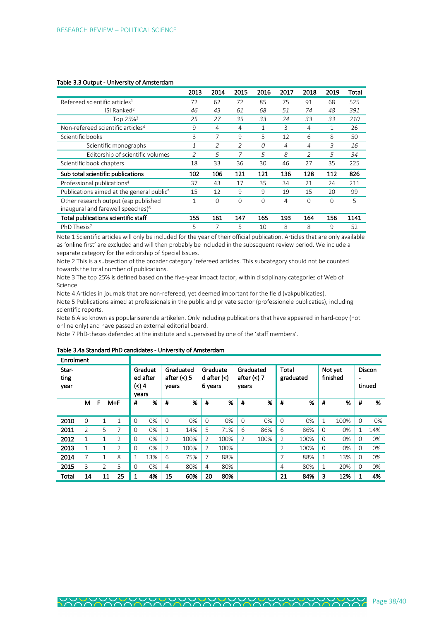|                                                       | 2013         | 2014     | 2015     | 2016     | 2017 | 2018                     | 2019     | Total |
|-------------------------------------------------------|--------------|----------|----------|----------|------|--------------------------|----------|-------|
| Refereed scientific articles <sup>1</sup>             | 72           | 62       | 72       | 85       | 75   | 91                       | 68       | 525   |
| ISI Ranked <sup>2</sup>                               | 46           | 43       | 61       | 68       | 51   | 74                       | 48       | 391   |
| Top 25% <sup>3</sup>                                  | 25           | 27       | 35       | 33       | 24   | 33                       | 33       | 210   |
| Non-refereed scientific articles <sup>4</sup>         | 9            | 4        | 4        | 1        | 3    | 4                        | 1        | 26    |
| Scientific books                                      | 3            | 7        | 9        | 5        | 12   | 6                        | 8        | 50    |
| Scientific monographs                                 | 1            | 2        | 2        | 0        | 4    | 4                        | 3        | 16    |
| Editorship of scientific volumes                      | 2            | 5        | 7        | 5        | 8    | $\overline{\mathcal{L}}$ | 5        | 34    |
| Scientific book chapters                              | 18           | 33       | 36       | 30       | 46   | 27                       | 35       | 225   |
| Sub total scientific publications                     | 102          | 106      | 121      | 121      | 136  | 128                      | 112      | 826   |
| Professional publications <sup>4</sup>                | 37           | 43       | 17       | 35       | 34   | 21                       | 24       | 211   |
| Publications aimed at the general public <sup>5</sup> | 15           | 12       | 9        | 9        | 19   | 15                       | 20       | 99    |
| Other research output (esp published                  | $\mathbf{1}$ | $\Omega$ | $\Omega$ | $\Omega$ | 4    | $\Omega$                 | $\Omega$ | 5     |
| inaugural and farewell speeches) <sup>6</sup>         |              |          |          |          |      |                          |          |       |
| Total publications scientific staff                   | 155          | 161      | 147      | 165      | 193  | 164                      | 156      | 1141  |
| PhD Thesis <sup>7</sup>                               | 5            | 7        | 5        | 10       | 8    | 8                        | 9        | 52    |

#### Table 3.3 Output - University of Amsterdam

Note 1 Scientific articles will only be included for the year of their official publication. Articles that are only available as 'online first' are excluded and will then probably be included in the subsequent review period. We include a separate category for the editorship of Special Issues.

Note 2 This is a subsection of the broader category 'refereed articles. This subcategory should not be counted towards the total number of publications.

Note 3 The top 25% is defined based on the five-year impact factor, within disciplinary categories of Web of Science.

Note 4 Articles in journals that are non-refereed, yet deemed important for the field (vakpublicaties). Note 5 Publications aimed at professionals in the public and private sector (professionele publicaties), including scientific reports.

Note 6 Also known as populariserende artikelen. Only including publications that have appeared in hard-copy (not online only) and have passed an external editorial board.

Note 7 PhD-theses defended at the institute and supervised by one of the 'staff members'.

#### Table 3.4a Standard PhD candidates - University of Amsterdam

| Enrolment             |                |                |                |                   |                     |                |                            |                     |               |                |                            |                |           |          |                     |                |                         |
|-----------------------|----------------|----------------|----------------|-------------------|---------------------|----------------|----------------------------|---------------------|---------------|----------------|----------------------------|----------------|-----------|----------|---------------------|----------------|-------------------------|
| Star-<br>ting<br>year |                |                |                | $\leq$ 4<br>vears | Graduat<br>ed after | years          | Graduated<br>after $(<)$ 5 | Graduate<br>6 years | d after $(<)$ | years          | Graduated<br>after $(<) 7$ | Total          | graduated |          | Not yet<br>finished | $\blacksquare$ | <b>Discon</b><br>tinued |
|                       | м              | F              | $M + F$        | #                 | %                   | #              | %                          | #                   | %             | #              | %                          | #              | %         | #        | %                   | #              | %                       |
| 2010                  | 0              | $\mathbf{1}$   | 1              | $\Omega$          | 0%                  | $\Omega$       | 0%                         | $\Omega$            | 0%            | $\Omega$       | 0%                         | $\Omega$       | 0%        |          | 100%                | $\Omega$       | 0%                      |
| 2011                  | $\overline{2}$ | 5              | 7              | 0                 | 0%                  |                | 14%                        | 5                   | 71%           | 6              | 86%                        | 6              | 86%       | $\Omega$ | 0%                  |                | 14%                     |
| 2012                  | 1              | 1              | 2              | 0                 | 0%                  | $\overline{2}$ | 100%                       | 2                   | 100%          | $\overline{2}$ | 100%                       | $\overline{2}$ | 100%      | $\Omega$ | 0%                  | 0              | 0%                      |
| 2013                  | 1              | 1              | $\overline{2}$ | 0                 | $0\%$               | 2              | 100%                       | $\overline{2}$      | 100%          |                |                            | 2              | 100%      | $\Omega$ | 0%                  | 0              | 0%                      |
| 2014                  | 7              | 1              | 8              |                   | 13%                 | 6              | 75%                        | 7                   | 88%           |                |                            | 7              | 88%       |          | 13%                 | $\Omega$       | 0%                      |
| 2015                  | 3              | $\overline{2}$ | 5              | 0                 | 0%                  | 4              | 80%                        | $\overline{4}$      | 80%           |                |                            | 4              | 80%       | 1        | 20%                 | 0              | 0%                      |
| Total                 | 14             | 11             | 25             | 1                 | 4%                  | 15             | 60%                        | 20                  | 80%           |                |                            | 21             | 84%       | 3        | 12%                 |                | 4%                      |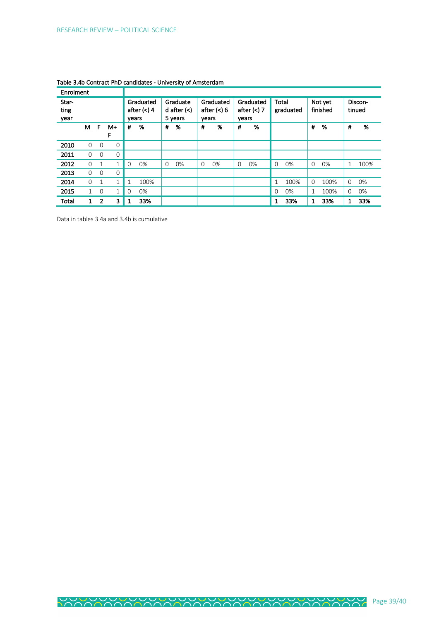| Enrolment             |              |             |              |             |                                 |          |                                       |          |                            |          |                                          |             |           |          |                     |          |                   |
|-----------------------|--------------|-------------|--------------|-------------|---------------------------------|----------|---------------------------------------|----------|----------------------------|----------|------------------------------------------|-------------|-----------|----------|---------------------|----------|-------------------|
| Star-<br>ting<br>year |              |             |              |             | Graduated<br>after $($<br>vears |          | Graduate<br>d after $\leq$<br>5 years | vears    | Graduated<br>after $(<) 6$ |          | Graduated<br>after $( \leq )$ 7<br>years | Total       | graduated |          | Not yet<br>finished |          | Discon-<br>tinued |
|                       | м            | F           | M+<br>F      | #           | %                               | #        | %                                     | #        | %                          | #        | %                                        |             |           | #        | %                   | #        | %                 |
| 2010                  | $\Omega$     | $\Omega$    | 0            |             |                                 |          |                                       |          |                            |          |                                          |             |           |          |                     |          |                   |
| 2011                  | $\Omega$     | $\Omega$    | 0            |             |                                 |          |                                       |          |                            |          |                                          |             |           |          |                     |          |                   |
| 2012                  | $\Omega$     | 1           | 1            | $\mathbf 0$ | 0%                              | $\Omega$ | 0%                                    | $\Omega$ | 0%                         | $\Omega$ | 0%                                       | $\mathbf 0$ | 0%        | $\Omega$ | 0%                  | 1        | 100%              |
| 2013                  | $\Omega$     | $\Omega$    | 0            |             |                                 |          |                                       |          |                            |          |                                          |             |           |          |                     |          |                   |
| 2014                  | $\Omega$     | 1           | $\mathbf 1$  | 1           | 100%                            |          |                                       |          |                            |          |                                          | 1           | 100%      | $\Omega$ | 100%                | $\Omega$ | 0%                |
| 2015                  | 1.           | $\mathbf 0$ | $\mathbf{1}$ | $\mathbf 0$ | 0%                              |          |                                       |          |                            |          |                                          | $\Omega$    | 0%        | 1        | 100%                | $\Omega$ | 0%                |
| Total                 | $\mathbf{1}$ | 2           | 3            | 1           | 33%                             |          |                                       |          |                            |          |                                          | 1           | 33%       | 1        | 33%                 | 1        | 33%               |

|  |  | Table 3.4b Contract PhD candidates - University of Amsterdam |
|--|--|--------------------------------------------------------------|
|--|--|--------------------------------------------------------------|

Data in tables 3.4a and 3.4b is cumulative